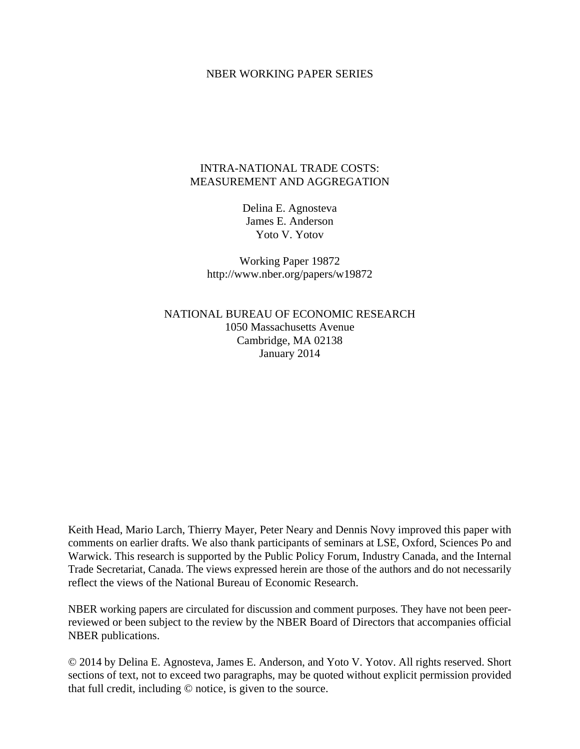#### NBER WORKING PAPER SERIES

## INTRA-NATIONAL TRADE COSTS: MEASUREMENT AND AGGREGATION

Delina E. Agnosteva James E. Anderson Yoto V. Yotov

Working Paper 19872 http://www.nber.org/papers/w19872

NATIONAL BUREAU OF ECONOMIC RESEARCH 1050 Massachusetts Avenue Cambridge, MA 02138 January 2014

Keith Head, Mario Larch, Thierry Mayer, Peter Neary and Dennis Novy improved this paper with comments on earlier drafts. We also thank participants of seminars at LSE, Oxford, Sciences Po and Warwick. This research is supported by the Public Policy Forum, Industry Canada, and the Internal Trade Secretariat, Canada. The views expressed herein are those of the authors and do not necessarily reflect the views of the National Bureau of Economic Research.

NBER working papers are circulated for discussion and comment purposes. They have not been peerreviewed or been subject to the review by the NBER Board of Directors that accompanies official NBER publications.

© 2014 by Delina E. Agnosteva, James E. Anderson, and Yoto V. Yotov. All rights reserved. Short sections of text, not to exceed two paragraphs, may be quoted without explicit permission provided that full credit, including © notice, is given to the source.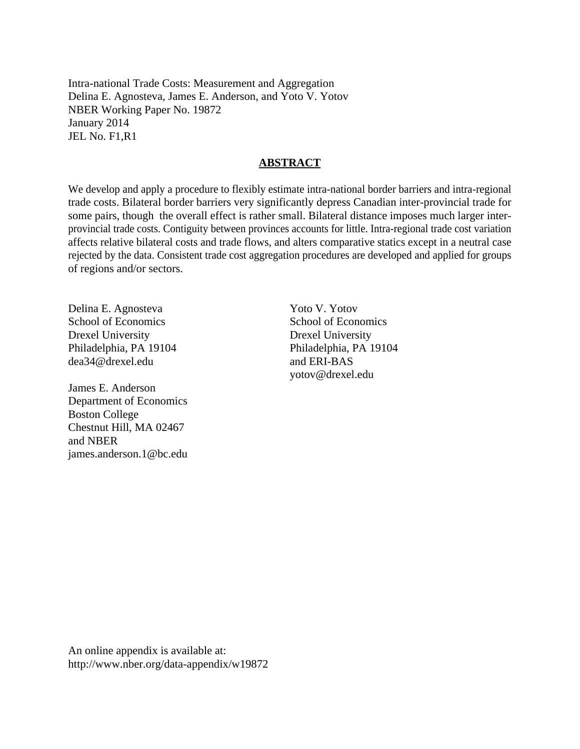Intra-national Trade Costs: Measurement and Aggregation Delina E. Agnosteva, James E. Anderson, and Yoto V. Yotov NBER Working Paper No. 19872 January 2014 JEL No. F1,R1

### **ABSTRACT**

We develop and apply a procedure to flexibly estimate intra-national border barriers and intra-regional trade costs. Bilateral border barriers very significantly depress Canadian inter-provincial trade for some pairs, though the overall effect is rather small. Bilateral distance imposes much larger interprovincial trade costs. Contiguity between provinces accounts for little. Intra-regional trade cost variation affects relative bilateral costs and trade flows, and alters comparative statics except in a neutral case rejected by the data. Consistent trade cost aggregation procedures are developed and applied for groups of regions and/or sectors.

Delina E. Agnosteva School of Economics Drexel University Philadelphia, PA 19104 dea34@drexel.edu

James E. Anderson Department of Economics Boston College Chestnut Hill, MA 02467 and NBER james.anderson.1@bc.edu

Yoto V. Yotov School of Economics Drexel University Philadelphia, PA 19104 and ERI-BAS yotov@drexel.edu

An online appendix is available at: http://www.nber.org/data-appendix/w19872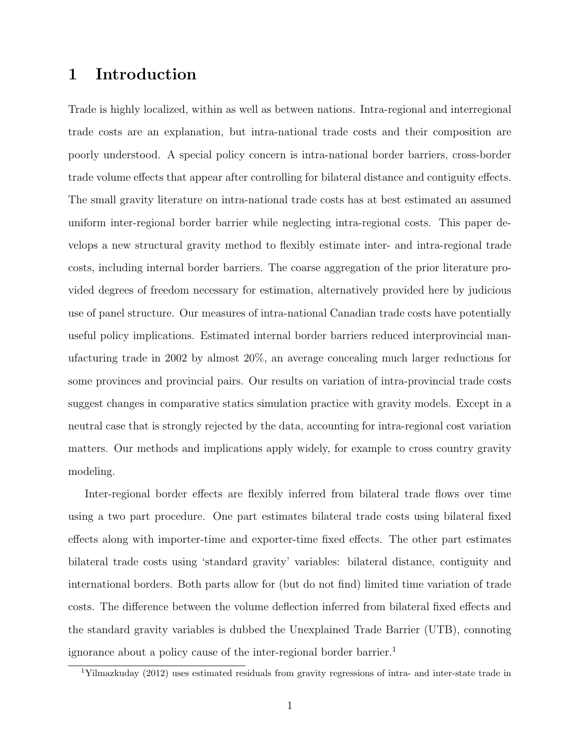## 1 Introduction

Trade is highly localized, within as well as between nations. Intra-regional and interregional trade costs are an explanation, but intra-national trade costs and their composition are poorly understood. A special policy concern is intra-national border barriers, cross-border trade volume effects that appear after controlling for bilateral distance and contiguity effects. The small gravity literature on intra-national trade costs has at best estimated an assumed uniform inter-regional border barrier while neglecting intra-regional costs. This paper develops a new structural gravity method to flexibly estimate inter- and intra-regional trade costs, including internal border barriers. The coarse aggregation of the prior literature provided degrees of freedom necessary for estimation, alternatively provided here by judicious use of panel structure. Our measures of intra-national Canadian trade costs have potentially useful policy implications. Estimated internal border barriers reduced interprovincial manufacturing trade in 2002 by almost 20%, an average concealing much larger reductions for some provinces and provincial pairs. Our results on variation of intra-provincial trade costs suggest changes in comparative statics simulation practice with gravity models. Except in a neutral case that is strongly rejected by the data, accounting for intra-regional cost variation matters. Our methods and implications apply widely, for example to cross country gravity modeling.

Inter-regional border effects are flexibly inferred from bilateral trade flows over time using a two part procedure. One part estimates bilateral trade costs using bilateral fixed effects along with importer-time and exporter-time fixed effects. The other part estimates bilateral trade costs using 'standard gravity' variables: bilateral distance, contiguity and international borders. Both parts allow for (but do not find) limited time variation of trade costs. The difference between the volume deflection inferred from bilateral fixed effects and the standard gravity variables is dubbed the Unexplained Trade Barrier (UTB), connoting ignorance about a policy cause of the inter-regional border barrier.<sup>1</sup>

<sup>1</sup>Yilmazkuday (2012) uses estimated residuals from gravity regressions of intra- and inter-state trade in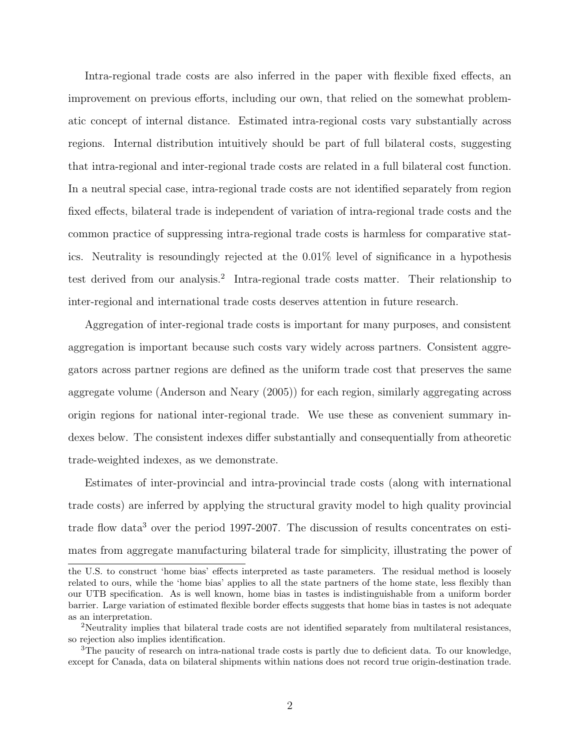Intra-regional trade costs are also inferred in the paper with flexible fixed effects, an improvement on previous efforts, including our own, that relied on the somewhat problematic concept of internal distance. Estimated intra-regional costs vary substantially across regions. Internal distribution intuitively should be part of full bilateral costs, suggesting that intra-regional and inter-regional trade costs are related in a full bilateral cost function. In a neutral special case, intra-regional trade costs are not identified separately from region fixed effects, bilateral trade is independent of variation of intra-regional trade costs and the common practice of suppressing intra-regional trade costs is harmless for comparative statics. Neutrality is resoundingly rejected at the 0.01% level of significance in a hypothesis test derived from our analysis.<sup>2</sup> Intra-regional trade costs matter. Their relationship to inter-regional and international trade costs deserves attention in future research.

Aggregation of inter-regional trade costs is important for many purposes, and consistent aggregation is important because such costs vary widely across partners. Consistent aggregators across partner regions are defined as the uniform trade cost that preserves the same aggregate volume (Anderson and Neary (2005)) for each region, similarly aggregating across origin regions for national inter-regional trade. We use these as convenient summary indexes below. The consistent indexes differ substantially and consequentially from atheoretic trade-weighted indexes, as we demonstrate.

Estimates of inter-provincial and intra-provincial trade costs (along with international trade costs) are inferred by applying the structural gravity model to high quality provincial trade flow data<sup>3</sup> over the period 1997-2007. The discussion of results concentrates on estimates from aggregate manufacturing bilateral trade for simplicity, illustrating the power of

the U.S. to construct 'home bias' effects interpreted as taste parameters. The residual method is loosely related to ours, while the 'home bias' applies to all the state partners of the home state, less flexibly than our UTB specification. As is well known, home bias in tastes is indistinguishable from a uniform border barrier. Large variation of estimated flexible border effects suggests that home bias in tastes is not adequate as an interpretation.

<sup>2</sup>Neutrality implies that bilateral trade costs are not identified separately from multilateral resistances, so rejection also implies identification.

<sup>&</sup>lt;sup>3</sup>The paucity of research on intra-national trade costs is partly due to deficient data. To our knowledge, except for Canada, data on bilateral shipments within nations does not record true origin-destination trade.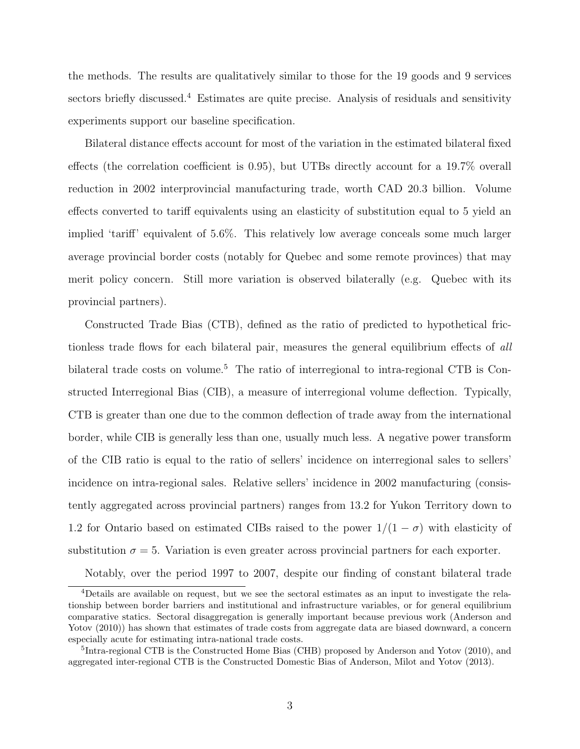the methods. The results are qualitatively similar to those for the 19 goods and 9 services sectors briefly discussed.<sup>4</sup> Estimates are quite precise. Analysis of residuals and sensitivity experiments support our baseline specification.

Bilateral distance effects account for most of the variation in the estimated bilateral fixed effects (the correlation coefficient is 0.95), but UTBs directly account for a 19.7% overall reduction in 2002 interprovincial manufacturing trade, worth CAD 20.3 billion. Volume effects converted to tariff equivalents using an elasticity of substitution equal to 5 yield an implied 'tariff' equivalent of 5.6%. This relatively low average conceals some much larger average provincial border costs (notably for Quebec and some remote provinces) that may merit policy concern. Still more variation is observed bilaterally (e.g. Quebec with its provincial partners).

Constructed Trade Bias (CTB), defined as the ratio of predicted to hypothetical frictionless trade flows for each bilateral pair, measures the general equilibrium effects of all bilateral trade costs on volume.<sup>5</sup> The ratio of interregional to intra-regional CTB is Constructed Interregional Bias (CIB), a measure of interregional volume deflection. Typically, CTB is greater than one due to the common deflection of trade away from the international border, while CIB is generally less than one, usually much less. A negative power transform of the CIB ratio is equal to the ratio of sellers' incidence on interregional sales to sellers' incidence on intra-regional sales. Relative sellers' incidence in 2002 manufacturing (consistently aggregated across provincial partners) ranges from 13.2 for Yukon Territory down to 1.2 for Ontario based on estimated CIBs raised to the power  $1/(1 - \sigma)$  with elasticity of substitution  $\sigma = 5$ . Variation is even greater across provincial partners for each exporter.

Notably, over the period 1997 to 2007, despite our finding of constant bilateral trade

<sup>&</sup>lt;sup>4</sup>Details are available on request, but we see the sectoral estimates as an input to investigate the relationship between border barriers and institutional and infrastructure variables, or for general equilibrium comparative statics. Sectoral disaggregation is generally important because previous work (Anderson and Yotov (2010)) has shown that estimates of trade costs from aggregate data are biased downward, a concern especially acute for estimating intra-national trade costs.

<sup>&</sup>lt;sup>5</sup>Intra-regional CTB is the Constructed Home Bias (CHB) proposed by Anderson and Yotov (2010), and aggregated inter-regional CTB is the Constructed Domestic Bias of Anderson, Milot and Yotov (2013).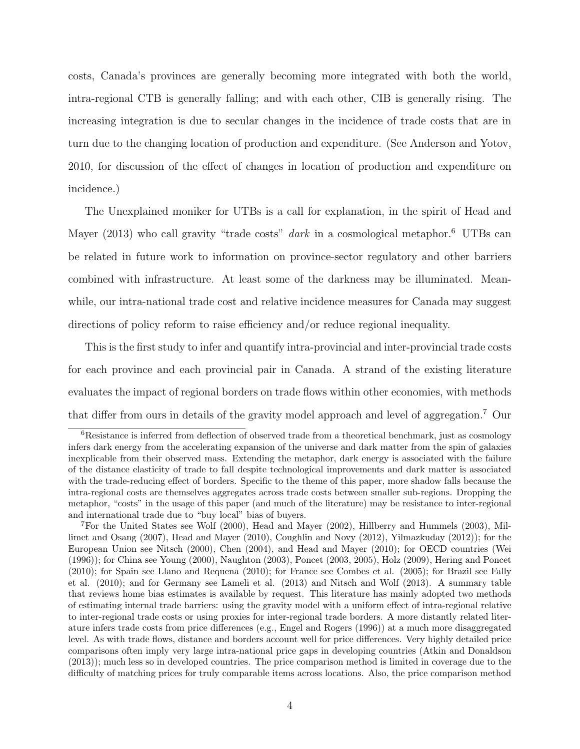costs, Canada's provinces are generally becoming more integrated with both the world, intra-regional CTB is generally falling; and with each other, CIB is generally rising. The increasing integration is due to secular changes in the incidence of trade costs that are in turn due to the changing location of production and expenditure. (See Anderson and Yotov, 2010, for discussion of the effect of changes in location of production and expenditure on incidence.)

The Unexplained moniker for UTBs is a call for explanation, in the spirit of Head and Mayer (2013) who call gravity "trade costs"  $dark$  in a cosmological metaphor.<sup>6</sup> UTBs can be related in future work to information on province-sector regulatory and other barriers combined with infrastructure. At least some of the darkness may be illuminated. Meanwhile, our intra-national trade cost and relative incidence measures for Canada may suggest directions of policy reform to raise efficiency and/or reduce regional inequality.

This is the first study to infer and quantify intra-provincial and inter-provincial trade costs for each province and each provincial pair in Canada. A strand of the existing literature evaluates the impact of regional borders on trade flows within other economies, with methods that differ from ours in details of the gravity model approach and level of aggregation.<sup>7</sup> Our

<sup>6</sup>Resistance is inferred from deflection of observed trade from a theoretical benchmark, just as cosmology infers dark energy from the accelerating expansion of the universe and dark matter from the spin of galaxies inexplicable from their observed mass. Extending the metaphor, dark energy is associated with the failure of the distance elasticity of trade to fall despite technological improvements and dark matter is associated with the trade-reducing effect of borders. Specific to the theme of this paper, more shadow falls because the intra-regional costs are themselves aggregates across trade costs between smaller sub-regions. Dropping the metaphor, "costs" in the usage of this paper (and much of the literature) may be resistance to inter-regional and international trade due to "buy local" bias of buyers.

<sup>7</sup>For the United States see Wolf (2000), Head and Mayer (2002), Hillberry and Hummels (2003), Millimet and Osang (2007), Head and Mayer (2010), Coughlin and Novy (2012), Yilmazkuday (2012)); for the European Union see Nitsch (2000), Chen (2004), and Head and Mayer (2010); for OECD countries (Wei (1996)); for China see Young (2000), Naughton (2003), Poncet (2003, 2005), Holz (2009), Hering and Poncet (2010); for Spain see Llano and Requena (2010); for France see Combes et al. (2005); for Brazil see Fally et al. (2010); and for Germany see Lameli et al. (2013) and Nitsch and Wolf (2013). A summary table that reviews home bias estimates is available by request. This literature has mainly adopted two methods of estimating internal trade barriers: using the gravity model with a uniform effect of intra-regional relative to inter-regional trade costs or using proxies for inter-regional trade borders. A more distantly related literature infers trade costs from price differences (e.g., Engel and Rogers (1996)) at a much more disaggregated level. As with trade flows, distance and borders account well for price differences. Very highly detailed price comparisons often imply very large intra-national price gaps in developing countries (Atkin and Donaldson (2013)); much less so in developed countries. The price comparison method is limited in coverage due to the difficulty of matching prices for truly comparable items across locations. Also, the price comparison method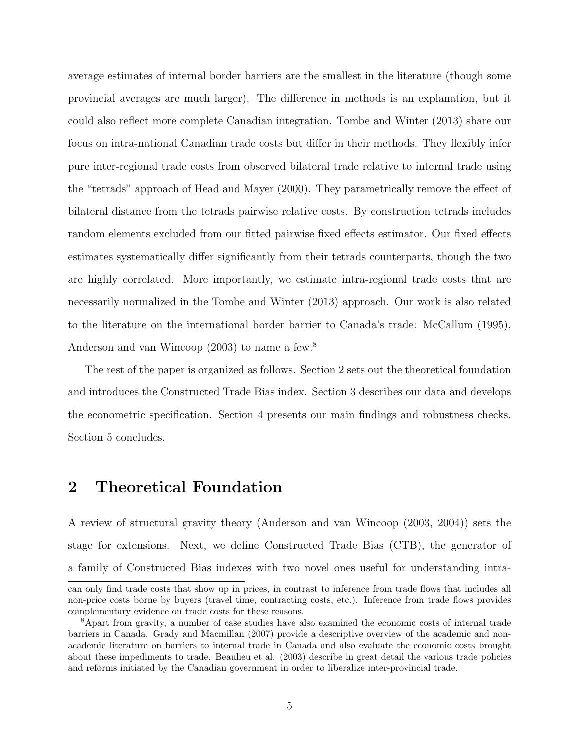average estimates of internal border barriers are the smallest in the literature (though some provincial averages are much larger). The difference in methods is an explanation, but it could also reflect more complete Canadian integration. Tombe and Winter (2013) share our focus on intra-national Canadian trade costs but differ in their methods. They flexibly infer pure inter-regional trade costs from observed bilateral trade relative to internal trade using the "tetrads" approach of Head and Mayer (2000). They parametrically remove the effect of bilateral distance from the tetrads pairwise relative costs. By construction tetrads includes random elements excluded from our fitted pairwise fixed effects estimator. Our fixed effects estimates systematically differ significantly from their tetrads counterparts, though the two are highly correlated. More importantly, we estimate intra-regional trade costs that are necessarily normalized in the Tombe and Winter (2013) approach. Our work is also related to the literature on the international border barrier to Canada's trade: McCallum (1995), Anderson and van Wincoop (2003) to name a few.<sup>8</sup>

The rest of the paper is organized as follows. Section 2 sets out the theoretical foundation and introduces the Constructed Trade Bias index. Section 3 describes our data and develops the econometric specification. Section 4 presents our main findings and robustness checks. Section 5 concludes.

# 2 Theoretical Foundation

A review of structural gravity theory (Anderson and van Wincoop (2003, 2004)) sets the stage for extensions. Next, we define Constructed Trade Bias (CTB), the generator of a family of Constructed Bias indexes with two novel ones useful for understanding intra-

can only find trade costs that show up in prices, in contrast to inference from trade flows that includes all non-price costs borne by buyers (travel time, contracting costs, etc.). Inference from trade flows provides complementary evidence on trade costs for these reasons.

<sup>8</sup>Apart from gravity, a number of case studies have also examined the economic costs of internal trade barriers in Canada. Grady and Macmillan (2007) provide a descriptive overview of the academic and nonacademic literature on barriers to internal trade in Canada and also evaluate the economic costs brought about these impediments to trade. Beaulieu et al. (2003) describe in great detail the various trade policies and reforms initiated by the Canadian government in order to liberalize inter-provincial trade.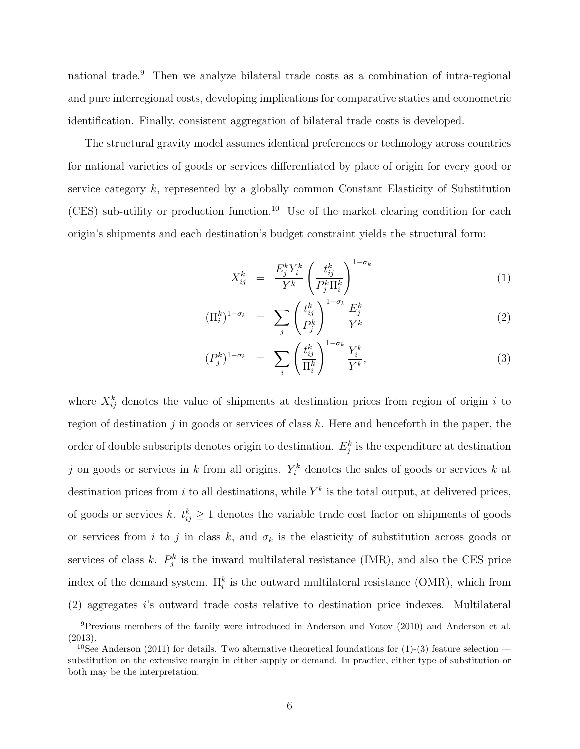national trade.<sup>9</sup> Then we analyze bilateral trade costs as a combination of intra-regional and pure interregional costs, developing implications for comparative statics and econometric identification. Finally, consistent aggregation of bilateral trade costs is developed.

The structural gravity model assumes identical preferences or technology across countries for national varieties of goods or services differentiated by place of origin for every good or service category k, represented by a globally common Constant Elasticity of Substitution (CES) sub-utility or production function.<sup>10</sup> Use of the market clearing condition for each origin's shipments and each destination's budget constraint yields the structural form:

$$
X_{ij}^k = \frac{E_j^k Y_i^k}{Y^k} \left(\frac{t_{ij}^k}{P_j^k \Pi_i^k}\right)^{1-\sigma_k} \tag{1}
$$

$$
(\Pi_i^k)^{1-\sigma_k} = \sum_j \left(\frac{t_{ij}^k}{P_j^k}\right)^{1-\sigma_k} \frac{E_j^k}{Y^k}
$$
 (2)

$$
(P_j^k)^{1-\sigma_k} = \sum_i \left(\frac{t_{ij}^k}{\Pi_i^k}\right)^{1-\sigma_k} \frac{Y_i^k}{Y^k},\tag{3}
$$

where  $X_{ij}^k$  denotes the value of shipments at destination prices from region of origin i to region of destination j in goods or services of class  $k$ . Here and henceforth in the paper, the order of double subscripts denotes origin to destination.  $E_j^k$  is the expenditure at destination j on goods or services in k from all origins.  $Y_i^k$  denotes the sales of goods or services k at destination prices from i to all destinations, while  $Y^k$  is the total output, at delivered prices, of goods or services k,  $t_{ij}^k \geq 1$  denotes the variable trade cost factor on shipments of goods or services from i to j in class k, and  $\sigma_k$  is the elasticity of substitution across goods or services of class k.  $P_j^k$  is the inward multilateral resistance (IMR), and also the CES price index of the demand system.  $\Pi_i^k$  is the outward multilateral resistance (OMR), which from (2) aggregates i's outward trade costs relative to destination price indexes. Multilateral

<sup>&</sup>lt;sup>9</sup>Previous members of the family were introduced in Anderson and Yotov (2010) and Anderson et al. (2013).

<sup>&</sup>lt;sup>10</sup>See Anderson (2011) for details. Two alternative theoretical foundations for (1)-(3) feature selection substitution on the extensive margin in either supply or demand. In practice, either type of substitution or both may be the interpretation.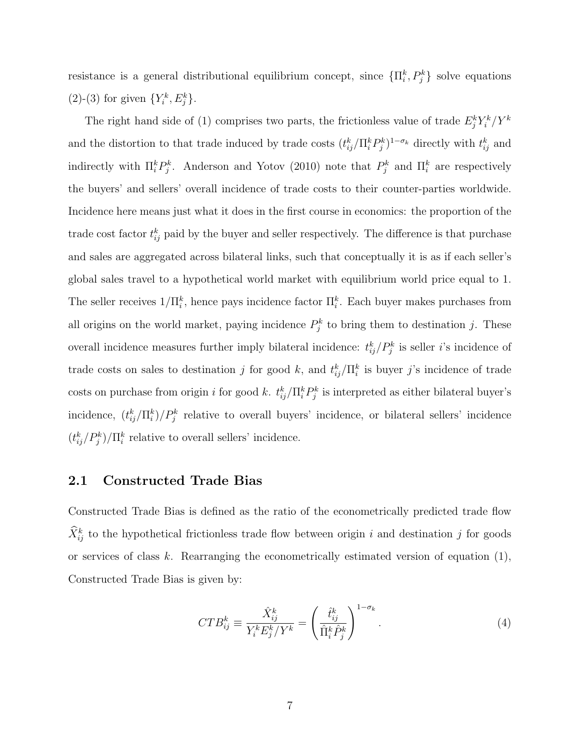resistance is a general distributional equilibrium concept, since  $\{\Pi_i^k, P_j^k\}$  solve equations (2)-(3) for given  $\{Y_i^k, E_j^k\}$ .

The right hand side of (1) comprises two parts, the frictionless value of trade  $E_j^k Y_i^k/Y_i^k$ and the distortion to that trade induced by trade costs  $(t_{ij}^k / \Pi_i^k P_j^k)^{1-\sigma_k}$  directly with  $t_{ij}^k$  and indirectly with  $\prod_i^k P_j^k$ . Anderson and Yotov (2010) note that  $P_j^k$  and  $\prod_i^k$  are respectively the buyers' and sellers' overall incidence of trade costs to their counter-parties worldwide. Incidence here means just what it does in the first course in economics: the proportion of the trade cost factor  $t_{ij}^k$  paid by the buyer and seller respectively. The difference is that purchase and sales are aggregated across bilateral links, such that conceptually it is as if each seller's global sales travel to a hypothetical world market with equilibrium world price equal to 1. The seller receives  $1/\Pi_i^k$ , hence pays incidence factor  $\Pi_i^k$ . Each buyer makes purchases from all origins on the world market, paying incidence  $P_j^k$  to bring them to destination j. These overall incidence measures further imply bilateral incidence:  $t_{ij}^k/P_j^k$  is seller *i*'s incidence of trade costs on sales to destination j for good k, and  $t_{ij}^k / \Pi_i^k$  is buyer j's incidence of trade costs on purchase from origin i for good k.  $t_{ij}^k/\Pi_i^k P_j^k$  is interpreted as either bilateral buyer's incidence,  $(t_{ij}^k/\Pi_i^k)/P_j^k$  relative to overall buyers' incidence, or bilateral sellers' incidence  $(t_{ij}^k/P_j^k)/\Pi_i^k$  relative to overall sellers' incidence.

### 2.1 Constructed Trade Bias

Constructed Trade Bias is defined as the ratio of the econometrically predicted trade flow  $\hat{X}_{ij}^k$  to the hypothetical frictionless trade flow between origin i and destination j for goods or services of class k. Rearranging the econometrically estimated version of equation  $(1)$ , Constructed Trade Bias is given by:

$$
CTB_{ij}^k \equiv \frac{\hat{X}_{ij}^k}{Y_i^k E_j^k / Y^k} = \left(\frac{\hat{t}_{ij}^k}{\hat{\Pi}_i^k \hat{P}_j^k}\right)^{1-\sigma_k}.
$$
\n(4)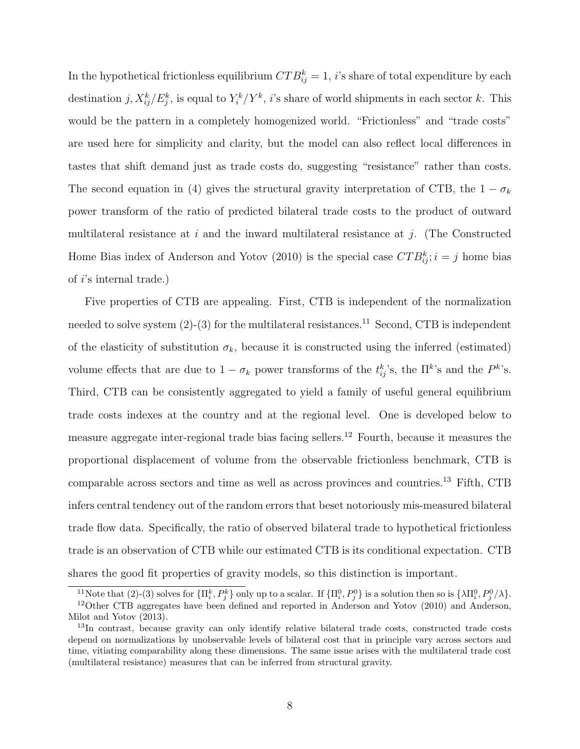In the hypothetical frictionless equilibrium  $CTB_{ij}^k = 1$ , *i*'s share of total expenditure by each destination  $j, X^k_{ij}/E^k_j$ , is equal to  $Y^k_i/Y^k$ , *i*'s share of world shipments in each sector k. This would be the pattern in a completely homogenized world. "Frictionless" and "trade costs" are used here for simplicity and clarity, but the model can also reflect local differences in tastes that shift demand just as trade costs do, suggesting "resistance" rather than costs. The second equation in (4) gives the structural gravity interpretation of CTB, the  $1 - \sigma_k$ power transform of the ratio of predicted bilateral trade costs to the product of outward multilateral resistance at i and the inward multilateral resistance at j. (The Constructed Home Bias index of Anderson and Yotov (2010) is the special case  $CTB_{ij}^k$ ;  $i = j$  home bias of i's internal trade.)

Five properties of CTB are appealing. First, CTB is independent of the normalization needed to solve system  $(2)-(3)$  for the multilateral resistances.<sup>11</sup> Second, CTB is independent of the elasticity of substitution  $\sigma_k$ , because it is constructed using the inferred (estimated) volume effects that are due to  $1 - \sigma_k$  power transforms of the  $t_{ij}^k$ 's, the  $\prod^{k}$ 's and the  $P^k$ 's. Third, CTB can be consistently aggregated to yield a family of useful general equilibrium trade costs indexes at the country and at the regional level. One is developed below to measure aggregate inter-regional trade bias facing sellers.<sup>12</sup> Fourth, because it measures the proportional displacement of volume from the observable frictionless benchmark, CTB is comparable across sectors and time as well as across provinces and countries.<sup>13</sup> Fifth, CTB infers central tendency out of the random errors that beset notoriously mis-measured bilateral trade flow data. Specifically, the ratio of observed bilateral trade to hypothetical frictionless trade is an observation of CTB while our estimated CTB is its conditional expectation. CTB shares the good fit properties of gravity models, so this distinction is important.

<sup>&</sup>lt;sup>11</sup>Note that (2)-(3) solves for  $\{\Pi_i^k, P_j^k\}$  only up to a scalar. If  $\{\Pi_i^0, P_j^0\}$  is a solution then so is  $\{\lambda \Pi_i^0, P_j^0/\lambda\}$ . <sup>12</sup>Other CTB aggregates have been defined and reported in Anderson and Yotov (2010) and Anderson, Milot and Yotov (2013).

<sup>&</sup>lt;sup>13</sup>In contrast, because gravity can only identify relative bilateral trade costs, constructed trade costs depend on normalizations by unobservable levels of bilateral cost that in principle vary across sectors and time, vitiating comparability along these dimensions. The same issue arises with the multilateral trade cost (multilateral resistance) measures that can be inferred from structural gravity.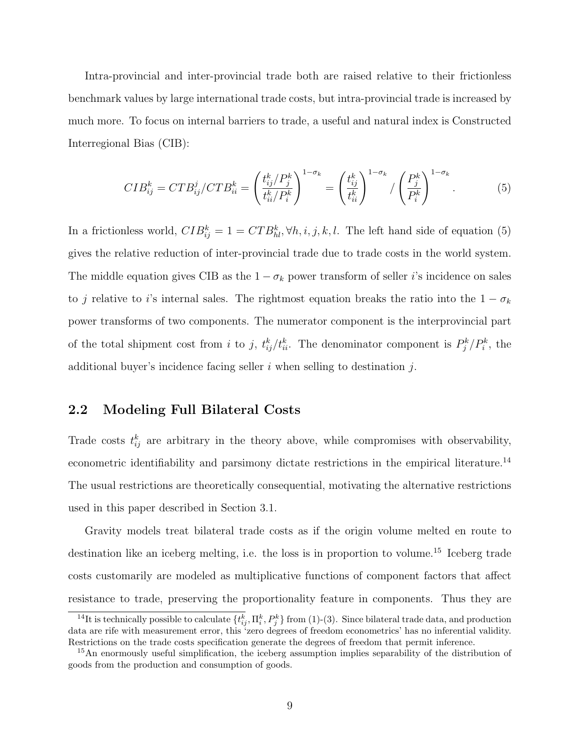Intra-provincial and inter-provincial trade both are raised relative to their frictionless benchmark values by large international trade costs, but intra-provincial trade is increased by much more. To focus on internal barriers to trade, a useful and natural index is Constructed Interregional Bias (CIB):

$$
CIB_{ij}^k = CTB_{ij}^j / CTB_{ii}^k = \left(\frac{t_{ij}^k / P_j^k}{t_{ii}^k / P_i^k}\right)^{1 - \sigma_k} = \left(\frac{t_{ij}^k}{t_{ii}^k}\right)^{1 - \sigma_k} / \left(\frac{P_j^k}{P_i^k}\right)^{1 - \sigma_k}.
$$
 (5)

In a frictionless world,  $CIB_{ij}^k = 1 = CTB_{hl}^k, \forall h, i, j, k, l$ . The left hand side of equation (5) gives the relative reduction of inter-provincial trade due to trade costs in the world system. The middle equation gives CIB as the  $1 - \sigma_k$  power transform of seller i's incidence on sales to j relative to i's internal sales. The rightmost equation breaks the ratio into the  $1 - \sigma_k$ power transforms of two components. The numerator component is the interprovincial part of the total shipment cost from i to j,  $t_{ij}^k/t_{ii}^k$ . The denominator component is  $P_j^k/P_i^k$ , the additional buyer's incidence facing seller  $i$  when selling to destination  $j$ .

## 2.2 Modeling Full Bilateral Costs

Trade costs  $t_{ij}^k$  are arbitrary in the theory above, while compromises with observability, econometric identifiability and parsimony dictate restrictions in the empirical literature.<sup>14</sup> The usual restrictions are theoretically consequential, motivating the alternative restrictions used in this paper described in Section 3.1.

Gravity models treat bilateral trade costs as if the origin volume melted en route to destination like an iceberg melting, i.e. the loss is in proportion to volume.<sup>15</sup> Iceberg trade costs customarily are modeled as multiplicative functions of component factors that affect resistance to trade, preserving the proportionality feature in components. Thus they are

<sup>&</sup>lt;sup>14</sup>It is technically possible to calculate  $\{t_{ij}^k, \Pi_i^k, P_j^k\}$  from (1)-(3). Since bilateral trade data, and production data are rife with measurement error, this 'zero degrees of freedom econometrics' has no inferential validity. Restrictions on the trade costs specification generate the degrees of freedom that permit inference.

<sup>&</sup>lt;sup>15</sup>An enormously useful simplification, the iceberg assumption implies separability of the distribution of goods from the production and consumption of goods.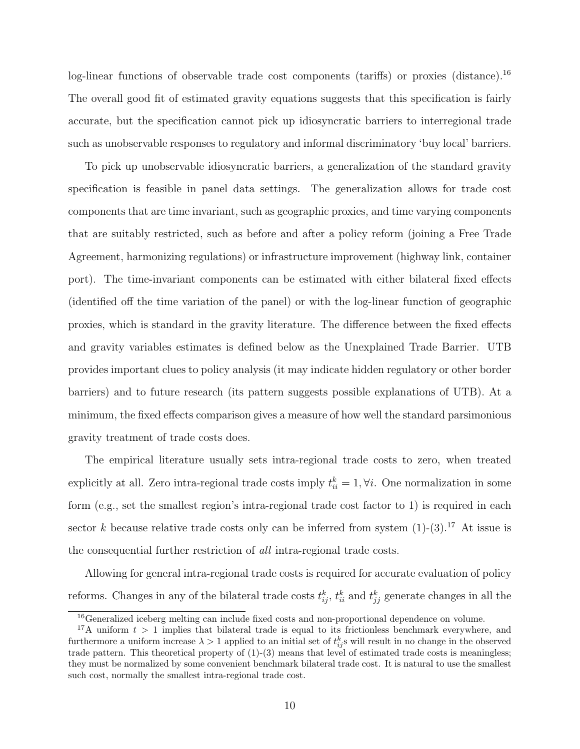log-linear functions of observable trade cost components (tariffs) or proxies (distance).<sup>16</sup> The overall good fit of estimated gravity equations suggests that this specification is fairly accurate, but the specification cannot pick up idiosyncratic barriers to interregional trade such as unobservable responses to regulatory and informal discriminatory 'buy local' barriers.

To pick up unobservable idiosyncratic barriers, a generalization of the standard gravity specification is feasible in panel data settings. The generalization allows for trade cost components that are time invariant, such as geographic proxies, and time varying components that are suitably restricted, such as before and after a policy reform (joining a Free Trade Agreement, harmonizing regulations) or infrastructure improvement (highway link, container port). The time-invariant components can be estimated with either bilateral fixed effects (identified off the time variation of the panel) or with the log-linear function of geographic proxies, which is standard in the gravity literature. The difference between the fixed effects and gravity variables estimates is defined below as the Unexplained Trade Barrier. UTB provides important clues to policy analysis (it may indicate hidden regulatory or other border barriers) and to future research (its pattern suggests possible explanations of UTB). At a minimum, the fixed effects comparison gives a measure of how well the standard parsimonious gravity treatment of trade costs does.

The empirical literature usually sets intra-regional trade costs to zero, when treated explicitly at all. Zero intra-regional trade costs imply  $t_{ii}^k = 1, \forall i$ . One normalization in some form (e.g., set the smallest region's intra-regional trade cost factor to 1) is required in each sector k because relative trade costs only can be inferred from system  $(1)-(3)$ .<sup>17</sup> At issue is the consequential further restriction of all intra-regional trade costs.

Allowing for general intra-regional trade costs is required for accurate evaluation of policy reforms. Changes in any of the bilateral trade costs  $t_{ij}^k$ ,  $t_{ii}^k$  and  $t_{jj}^k$  generate changes in all the

<sup>&</sup>lt;sup>16</sup>Generalized iceberg melting can include fixed costs and non-proportional dependence on volume.

<sup>&</sup>lt;sup>17</sup>A uniform  $t > 1$  implies that bilateral trade is equal to its frictionless benchmark everywhere, and furthermore a uniform increase  $\lambda > 1$  applied to an initial set of  $t_{ij}^k$ s will result in no change in the observed trade pattern. This theoretical property of (1)-(3) means that level of estimated trade costs is meaningless; they must be normalized by some convenient benchmark bilateral trade cost. It is natural to use the smallest such cost, normally the smallest intra-regional trade cost.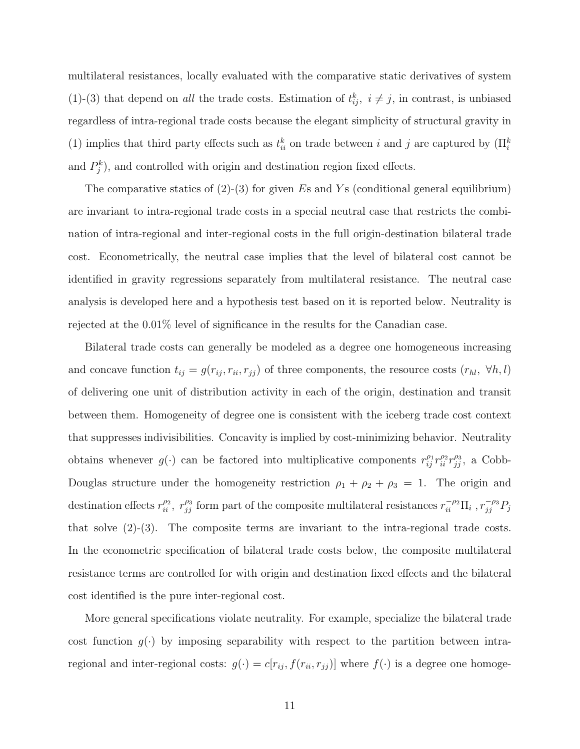multilateral resistances, locally evaluated with the comparative static derivatives of system (1)-(3) that depend on all the trade costs. Estimation of  $t_{ij}^k$ ,  $i \neq j$ , in contrast, is unbiased regardless of intra-regional trade costs because the elegant simplicity of structural gravity in (1) implies that third party effects such as  $t_{ii}^k$  on trade between i and j are captured by  $(\Pi_i^k)$ and  $P_j^k$ ), and controlled with origin and destination region fixed effects.

The comparative statics of  $(2)-(3)$  for given Es and Ys (conditional general equilibrium) are invariant to intra-regional trade costs in a special neutral case that restricts the combination of intra-regional and inter-regional costs in the full origin-destination bilateral trade cost. Econometrically, the neutral case implies that the level of bilateral cost cannot be identified in gravity regressions separately from multilateral resistance. The neutral case analysis is developed here and a hypothesis test based on it is reported below. Neutrality is rejected at the 0.01% level of significance in the results for the Canadian case.

Bilateral trade costs can generally be modeled as a degree one homogeneous increasing and concave function  $t_{ij} = g(r_{ij}, r_{ii}, r_{jj})$  of three components, the resource costs  $(r_{hl}, \forall h, l)$ of delivering one unit of distribution activity in each of the origin, destination and transit between them. Homogeneity of degree one is consistent with the iceberg trade cost context that suppresses indivisibilities. Concavity is implied by cost-minimizing behavior. Neutrality obtains whenever  $g(\cdot)$  can be factored into multiplicative components  $r_{ij}^{\rho_1} r_{ii}^{\rho_2} r_{jj}^{\rho_3}$ , a Cobb-Douglas structure under the homogeneity restriction  $\rho_1 + \rho_2 + \rho_3 = 1$ . The origin and destination effects  $r_{ii}^{\rho_2}$ ,  $r_{jj}^{\rho_3}$  form part of the composite multilateral resistances  $r_{ii}^{-\rho_2}\Pi_i$ ,  $r_{jj}^{-\rho_3}P_j$ that solve  $(2)-(3)$ . The composite terms are invariant to the intra-regional trade costs. In the econometric specification of bilateral trade costs below, the composite multilateral resistance terms are controlled for with origin and destination fixed effects and the bilateral cost identified is the pure inter-regional cost.

More general specifications violate neutrality. For example, specialize the bilateral trade cost function  $g(\cdot)$  by imposing separability with respect to the partition between intraregional and inter-regional costs:  $g(\cdot) = c[r_{ij}, f(r_{ii}, r_{jj})]$  where  $f(\cdot)$  is a degree one homoge-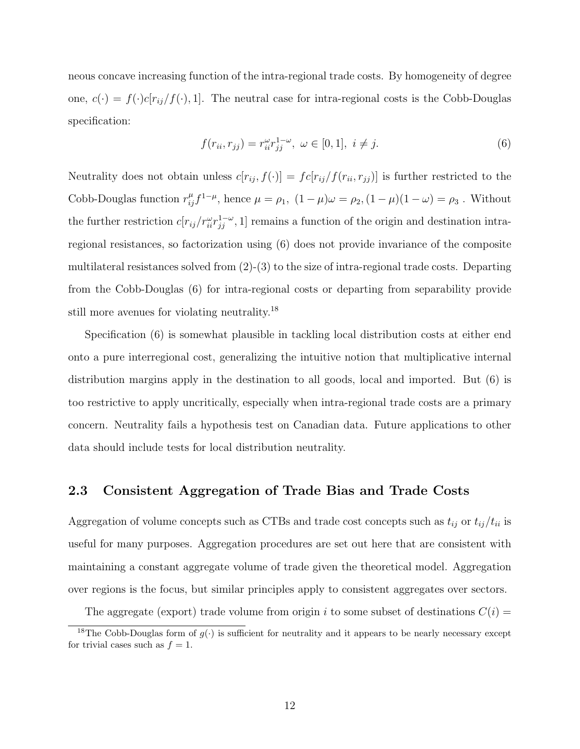neous concave increasing function of the intra-regional trade costs. By homogeneity of degree one,  $c(\cdot) = f(\cdot)c[r_{ij}/f(\cdot), 1]$ . The neutral case for intra-regional costs is the Cobb-Douglas specification:

$$
f(r_{ii}, r_{jj}) = r_{ii}^{\omega} r_{jj}^{1-\omega}, \ \omega \in [0, 1], \ i \neq j.
$$
 (6)

Neutrality does not obtain unless  $c[r_{ij}, f(\cdot)] = fc[r_{ij}/f(r_{ii}, r_{jj})]$  is further restricted to the Cobb-Douglas function  $r_{ij}^{\mu}f^{1-\mu}$ , hence  $\mu = \rho_1$ ,  $(1-\mu)\omega = \rho_2$ ,  $(1-\mu)(1-\omega) = \rho_3$ . Without the further restriction  $c[r_{ij}/r_{ii}^{\omega}r_{jj}^{1-\omega}, 1]$  remains a function of the origin and destination intraregional resistances, so factorization using (6) does not provide invariance of the composite multilateral resistances solved from  $(2)-(3)$  to the size of intra-regional trade costs. Departing from the Cobb-Douglas (6) for intra-regional costs or departing from separability provide still more avenues for violating neutrality.<sup>18</sup>

Specification (6) is somewhat plausible in tackling local distribution costs at either end onto a pure interregional cost, generalizing the intuitive notion that multiplicative internal distribution margins apply in the destination to all goods, local and imported. But (6) is too restrictive to apply uncritically, especially when intra-regional trade costs are a primary concern. Neutrality fails a hypothesis test on Canadian data. Future applications to other data should include tests for local distribution neutrality.

## 2.3 Consistent Aggregation of Trade Bias and Trade Costs

Aggregation of volume concepts such as CTBs and trade cost concepts such as  $t_{ij}$  or  $t_{ij}/t_{ii}$  is useful for many purposes. Aggregation procedures are set out here that are consistent with maintaining a constant aggregate volume of trade given the theoretical model. Aggregation over regions is the focus, but similar principles apply to consistent aggregates over sectors.

The aggregate (export) trade volume from origin i to some subset of destinations  $C(i)$  =

<sup>&</sup>lt;sup>18</sup>The Cobb-Douglas form of  $g(\cdot)$  is sufficient for neutrality and it appears to be nearly necessary except for trivial cases such as  $f = 1$ .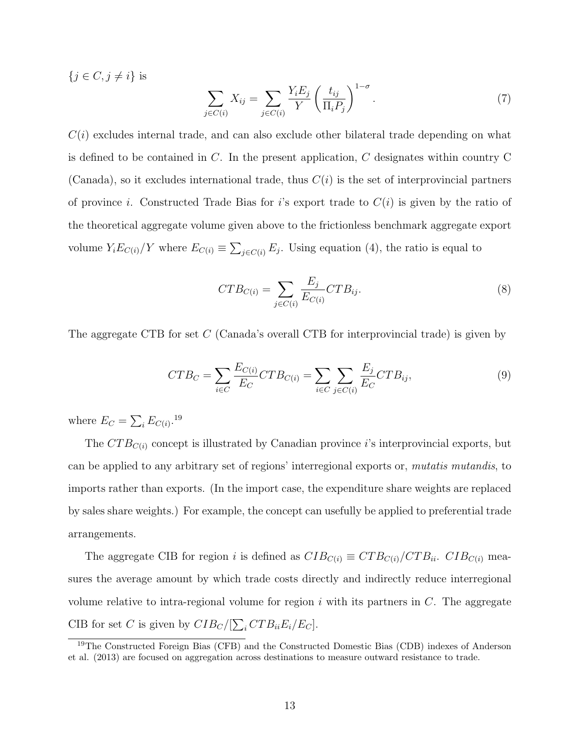$\{j \in C, j \neq i\}$  is

$$
\sum_{j \in C(i)} X_{ij} = \sum_{j \in C(i)} \frac{Y_i E_j}{Y} \left(\frac{t_{ij}}{\Pi_i P_j}\right)^{1-\sigma}.
$$
\n(7)

 $C(i)$  excludes internal trade, and can also exclude other bilateral trade depending on what is defined to be contained in  $C$ . In the present application,  $C$  designates within country  $C$ (Canada), so it excludes international trade, thus  $C(i)$  is the set of interprovincial partners of province i. Constructed Trade Bias for i's export trade to  $C(i)$  is given by the ratio of the theoretical aggregate volume given above to the frictionless benchmark aggregate export volume  $Y_i E_{C(i)} / Y$  where  $E_{C(i)} \equiv \sum_{j \in C(i)} E_j$ . Using equation (4), the ratio is equal to

$$
CTB_{C(i)} = \sum_{j \in C(i)} \frac{E_j}{E_{C(i)}} CTB_{ij}.
$$
\n(8)

The aggregate CTB for set C (Canada's overall CTB for interprovincial trade) is given by

$$
CTB_C = \sum_{i \in C} \frac{E_{C(i)}}{E_C} CTB_{C(i)} = \sum_{i \in C} \sum_{j \in C(i)} \frac{E_j}{E_C} CTB_{ij},\tag{9}
$$

where  $E_C = \sum_i E_{C(i)}$ .<sup>19</sup>

The  $CTB_{C(i)}$  concept is illustrated by Canadian province *i*'s interprovincial exports, but can be applied to any arbitrary set of regions' interregional exports or, mutatis mutandis, to imports rather than exports. (In the import case, the expenditure share weights are replaced by sales share weights.) For example, the concept can usefully be applied to preferential trade arrangements.

The aggregate CIB for region i is defined as  $CIB_{C(i)} \equiv CTB_{C(i)}/CTB_{ii}$ .  $CIB_{C(i)}$  measures the average amount by which trade costs directly and indirectly reduce interregional volume relative to intra-regional volume for region  $i$  with its partners in  $C$ . The aggregate CIB for set C is given by  $CIB_C/[\sum_i CTB_{ii}E_i/E_C]$ .

<sup>19</sup>The Constructed Foreign Bias (CFB) and the Constructed Domestic Bias (CDB) indexes of Anderson et al. (2013) are focused on aggregation across destinations to measure outward resistance to trade.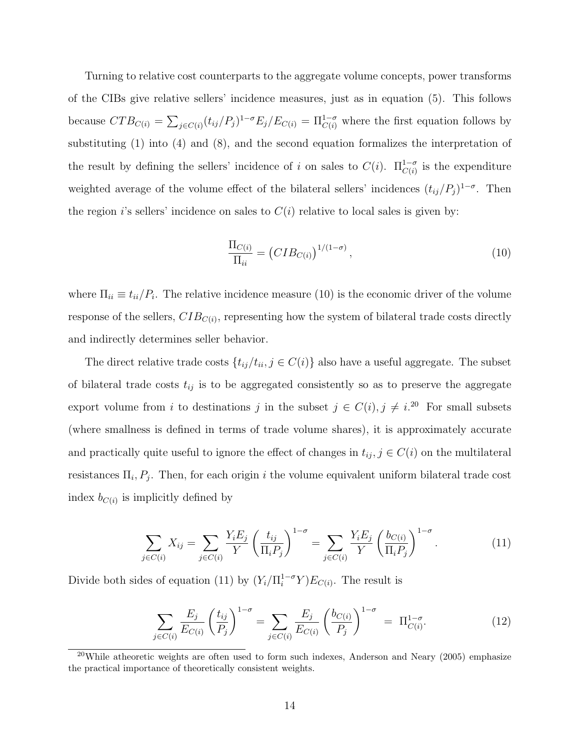Turning to relative cost counterparts to the aggregate volume concepts, power transforms of the CIBs give relative sellers' incidence measures, just as in equation (5). This follows because  $CTB_{C(i)} = \sum_{j \in C(i)} (t_{ij}/P_j)^{1-\sigma} E_j/E_{C(i)} = \Pi_{C(i)}^{1-\sigma}$  where the first equation follows by substituting (1) into (4) and (8), and the second equation formalizes the interpretation of the result by defining the sellers' incidence of i on sales to  $C(i)$ .  $\Pi_{C(i)}^{1-\sigma}$  is the expenditure weighted average of the volume effect of the bilateral sellers' incidences  $(t_{ij}/P_j)^{1-\sigma}$ . Then the region is sellers' incidence on sales to  $C(i)$  relative to local sales is given by:

$$
\frac{\Pi_{C(i)}}{\Pi_{ii}} = \left( CIB_{C(i)} \right)^{1/(1-\sigma)},\tag{10}
$$

where  $\Pi_{ii} \equiv t_{ii}/P_i$ . The relative incidence measure (10) is the economic driver of the volume response of the sellers,  $CIB_{C(i)}$ , representing how the system of bilateral trade costs directly and indirectly determines seller behavior.

The direct relative trade costs  $\{t_{ij}/t_{ii}, j \in C(i)\}\$  also have a useful aggregate. The subset of bilateral trade costs  $t_{ij}$  is to be aggregated consistently so as to preserve the aggregate export volume from i to destinations j in the subset  $j \in C(i)$ ,  $j \neq i$ .<sup>20</sup> For small subsets (where smallness is defined in terms of trade volume shares), it is approximately accurate and practically quite useful to ignore the effect of changes in  $t_{ij}$ ,  $j \in C(i)$  on the multilateral resistances  $\Pi_i$ ,  $P_j$ . Then, for each origin i the volume equivalent uniform bilateral trade cost index  $b_{C(i)}$  is implicitly defined by

$$
\sum_{j \in C(i)} X_{ij} = \sum_{j \in C(i)} \frac{Y_i E_j}{Y} \left(\frac{t_{ij}}{\Pi_i P_j}\right)^{1-\sigma} = \sum_{j \in C(i)} \frac{Y_i E_j}{Y} \left(\frac{b_{C(i)}}{\Pi_i P_j}\right)^{1-\sigma}.
$$
 (11)

Divide both sides of equation (11) by  $(Y_i/\Pi_i^{1-\sigma}Y)E_{C(i)}$ . The result is

$$
\sum_{j \in C(i)} \frac{E_j}{E_{C(i)}} \left(\frac{t_{ij}}{P_j}\right)^{1-\sigma} = \sum_{j \in C(i)} \frac{E_j}{E_{C(i)}} \left(\frac{b_{C(i)}}{P_j}\right)^{1-\sigma} = \Pi_{C(i)}^{1-\sigma}.
$$
 (12)

<sup>&</sup>lt;sup>20</sup>While atheoretic weights are often used to form such indexes, Anderson and Neary (2005) emphasize the practical importance of theoretically consistent weights.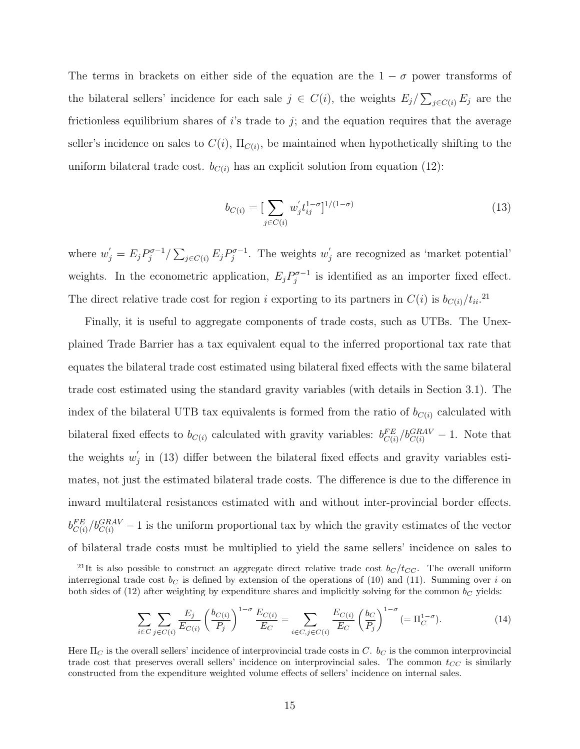The terms in brackets on either side of the equation are the  $1 - \sigma$  power transforms of the bilateral sellers' incidence for each sale  $j \in C(i)$ , the weights  $E_j / \sum_{j \in C(i)} E_j$  are the frictionless equilibrium shares of  $i$ 's trade to  $j$ ; and the equation requires that the average seller's incidence on sales to  $C(i)$ ,  $\Pi_{C(i)}$ , be maintained when hypothetically shifting to the uniform bilateral trade cost.  $b_{C(i)}$  has an explicit solution from equation (12):

$$
b_{C(i)} = \left[\sum_{j \in C(i)} w'_j t_{ij}^{1-\sigma}\right]^{1/(1-\sigma)}
$$
\n(13)

where  $w'_j = E_j P_j^{\sigma-1}$  $\sum_{j\in C(i)} E_j P_j^{\sigma-1}$  $\omega_j^{\sigma-1}$ . The weights  $w_j'$  $'_{j}$  are recognized as 'market potential' weights. In the econometric application,  $E_j P_j^{\sigma-1}$  $j^{\sigma-1}$  is identified as an importer fixed effect. The direct relative trade cost for region i exporting to its partners in  $C(i)$  is  $b_{C(i)}/t_{ii}.$ <sup>21</sup>

Finally, it is useful to aggregate components of trade costs, such as UTBs. The Unexplained Trade Barrier has a tax equivalent equal to the inferred proportional tax rate that equates the bilateral trade cost estimated using bilateral fixed effects with the same bilateral trade cost estimated using the standard gravity variables (with details in Section 3.1). The index of the bilateral UTB tax equivalents is formed from the ratio of  $b_{C(i)}$  calculated with bilateral fixed effects to  $b_{C(i)}$  calculated with gravity variables:  $b_{C(i)}^{FE}/b_{C(i)}^{GRAV} - 1$ . Note that the weights  $w'$  $j$  in (13) differ between the bilateral fixed effects and gravity variables estimates, not just the estimated bilateral trade costs. The difference is due to the difference in inward multilateral resistances estimated with and without inter-provincial border effects.  $b_{C(i)}^{FE}/b_{C(i)}^{GRAV} - 1$  is the uniform proportional tax by which the gravity estimates of the vector of bilateral trade costs must be multiplied to yield the same sellers' incidence on sales to

$$
\sum_{i \in C} \sum_{j \in C(i)} \frac{E_j}{E_{C(i)}} \left(\frac{b_{C(i)}}{P_j}\right)^{1-\sigma} \frac{E_{C(i)}}{E_C} = \sum_{i \in C, j \in C(i)} \frac{E_{C(i)}}{E_C} \left(\frac{b_C}{P_j}\right)^{1-\sigma} (= \Pi_C^{1-\sigma}).
$$
\n(14)

<sup>&</sup>lt;sup>21</sup>It is also possible to construct an aggregate direct relative trade cost  $b_C / t_{CC}$ . The overall uniform interregional trade cost  $b<sub>C</sub>$  is defined by extension of the operations of (10) and (11). Summing over i on both sides of (12) after weighting by expenditure shares and implicitly solving for the common  $b<sub>C</sub>$  yields:

Here  $\Pi_C$  is the overall sellers' incidence of interprovincial trade costs in C.  $b_C$  is the common interprovincial trade cost that preserves overall sellers' incidence on interprovincial sales. The common  $t_{CC}$  is similarly constructed from the expenditure weighted volume effects of sellers' incidence on internal sales.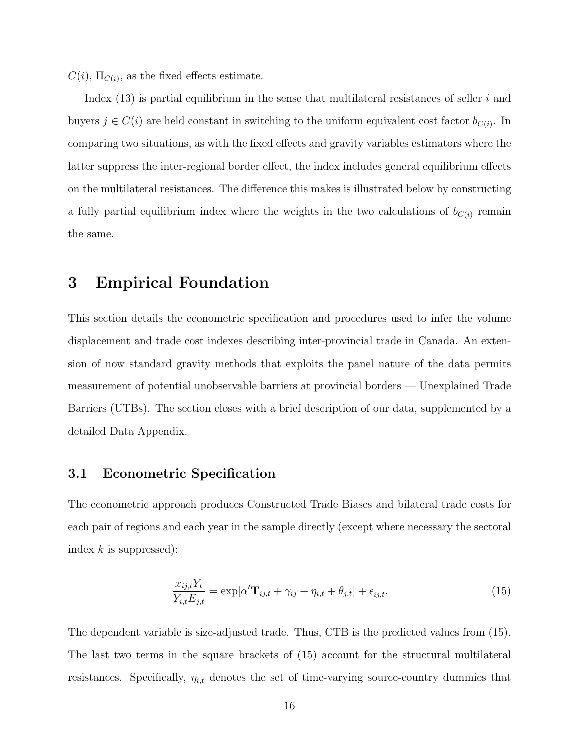$C(i)$ ,  $\Pi_{C(i)}$ , as the fixed effects estimate.

Index  $(13)$  is partial equilibrium in the sense that multilateral resistances of seller i and buyers  $j \in C(i)$  are held constant in switching to the uniform equivalent cost factor  $b_{C(i)}$ . In comparing two situations, as with the fixed effects and gravity variables estimators where the latter suppress the inter-regional border effect, the index includes general equilibrium effects on the multilateral resistances. The difference this makes is illustrated below by constructing a fully partial equilibrium index where the weights in the two calculations of  $b_{C(i)}$  remain the same.

## 3 Empirical Foundation

This section details the econometric specification and procedures used to infer the volume displacement and trade cost indexes describing inter-provincial trade in Canada. An extension of now standard gravity methods that exploits the panel nature of the data permits measurement of potential unobservable barriers at provincial borders — Unexplained Trade Barriers (UTBs). The section closes with a brief description of our data, supplemented by a detailed Data Appendix.

## 3.1 Econometric Specification

The econometric approach produces Constructed Trade Biases and bilateral trade costs for each pair of regions and each year in the sample directly (except where necessary the sectoral index  $k$  is suppressed):

$$
\frac{x_{ij,t}Y_t}{Y_{i,t}E_{j,t}} = \exp[\alpha' \mathbf{T}_{ij,t} + \gamma_{ij} + \eta_{i,t} + \theta_{j,t}] + \epsilon_{ij,t}.
$$
\n(15)

The dependent variable is size-adjusted trade. Thus, CTB is the predicted values from (15). The last two terms in the square brackets of (15) account for the structural multilateral resistances. Specifically,  $\eta_{i,t}$  denotes the set of time-varying source-country dummies that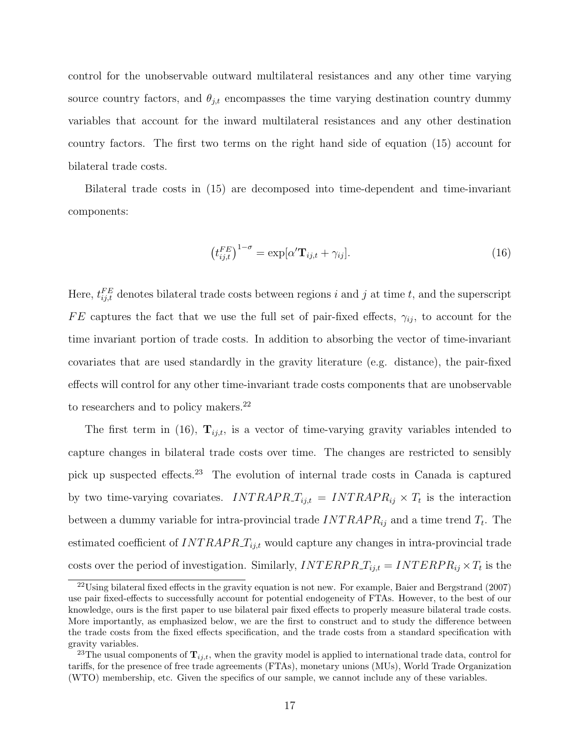control for the unobservable outward multilateral resistances and any other time varying source country factors, and  $\theta_{j,t}$  encompasses the time varying destination country dummy variables that account for the inward multilateral resistances and any other destination country factors. The first two terms on the right hand side of equation (15) account for bilateral trade costs.

Bilateral trade costs in (15) are decomposed into time-dependent and time-invariant components:

$$
\left(t_{ij,t}^{FE}\right)^{1-\sigma} = \exp[\alpha' \mathbf{T}_{ij,t} + \gamma_{ij}].\tag{16}
$$

Here,  $t_{ij,t}^{FE}$  denotes bilateral trade costs between regions i and j at time t, and the superscript FE captures the fact that we use the full set of pair-fixed effects,  $\gamma_{ij}$ , to account for the time invariant portion of trade costs. In addition to absorbing the vector of time-invariant covariates that are used standardly in the gravity literature (e.g. distance), the pair-fixed effects will control for any other time-invariant trade costs components that are unobservable to researchers and to policy makers.<sup>22</sup>

The first term in (16),  $\mathbf{T}_{ij,t}$ , is a vector of time-varying gravity variables intended to capture changes in bilateral trade costs over time. The changes are restricted to sensibly pick up suspected effects.<sup>23</sup> The evolution of internal trade costs in Canada is captured by two time-varying covariates. INTRAPR<sub>ij,t</sub> = INTRAPR<sub>ij</sub>  $\times T_t$  is the interaction between a dummy variable for intra-provincial trade  $INTRAP_{ij}$  and a time trend  $T_t$ . The estimated coefficient of  $INTRAPR_T_{i,j,t}$  would capture any changes in intra-provincial trade costs over the period of investigation. Similarly,  $INTERPR_{ij,t} = INTERPR_{ij} \times T_t$  is the

<sup>22</sup>Using bilateral fixed effects in the gravity equation is not new. For example, Baier and Bergstrand (2007) use pair fixed-effects to successfully account for potential endogeneity of FTAs. However, to the best of our knowledge, ours is the first paper to use bilateral pair fixed effects to properly measure bilateral trade costs. More importantly, as emphasized below, we are the first to construct and to study the difference between the trade costs from the fixed effects specification, and the trade costs from a standard specification with gravity variables.

<sup>&</sup>lt;sup>23</sup>The usual components of  $\mathbf{T}_{ij,t}$ , when the gravity model is applied to international trade data, control for tariffs, for the presence of free trade agreements (FTAs), monetary unions (MUs), World Trade Organization (WTO) membership, etc. Given the specifics of our sample, we cannot include any of these variables.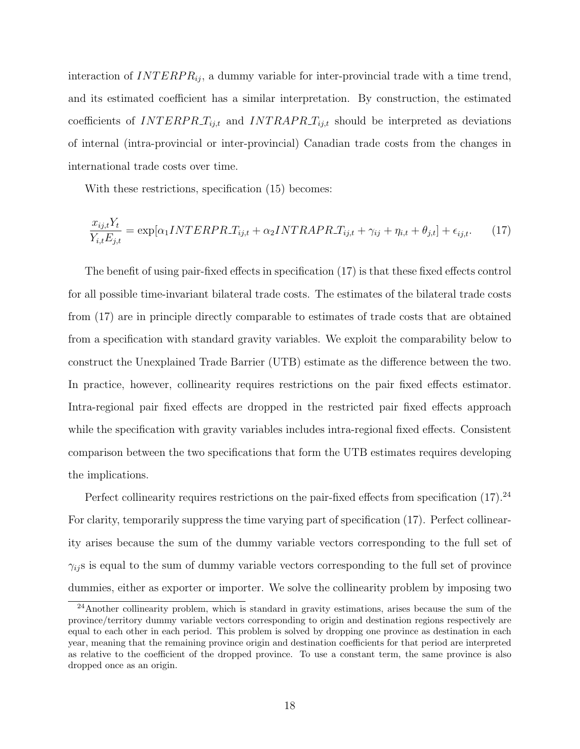interaction of  $INTERPR_{ij}$ , a dummy variable for inter-provincial trade with a time trend, and its estimated coefficient has a similar interpretation. By construction, the estimated coefficients of  $INTERPR_{ij,t}$  and  $INTERPR_{ij,t}$  should be interpreted as deviations of internal (intra-provincial or inter-provincial) Canadian trade costs from the changes in international trade costs over time.

With these restrictions, specification (15) becomes:

$$
\frac{x_{ij,t}Y_t}{Y_{i,t}E_{j,t}} = \exp[\alpha_1 INTERPR \cdot T_{ij,t} + \alpha_2 INTRAPR \cdot T_{ij,t} + \gamma_{ij} + \eta_{i,t} + \theta_{j,t}] + \epsilon_{ij,t}.
$$
 (17)

The benefit of using pair-fixed effects in specification (17) is that these fixed effects control for all possible time-invariant bilateral trade costs. The estimates of the bilateral trade costs from (17) are in principle directly comparable to estimates of trade costs that are obtained from a specification with standard gravity variables. We exploit the comparability below to construct the Unexplained Trade Barrier (UTB) estimate as the difference between the two. In practice, however, collinearity requires restrictions on the pair fixed effects estimator. Intra-regional pair fixed effects are dropped in the restricted pair fixed effects approach while the specification with gravity variables includes intra-regional fixed effects. Consistent comparison between the two specifications that form the UTB estimates requires developing the implications.

Perfect collinearity requires restrictions on the pair-fixed effects from specification  $(17).^{24}$ For clarity, temporarily suppress the time varying part of specification (17). Perfect collinearity arises because the sum of the dummy variable vectors corresponding to the full set of  $\gamma_{ij}$  is equal to the sum of dummy variable vectors corresponding to the full set of province dummies, either as exporter or importer. We solve the collinearity problem by imposing two

<sup>&</sup>lt;sup>24</sup>Another collinearity problem, which is standard in gravity estimations, arises because the sum of the province/territory dummy variable vectors corresponding to origin and destination regions respectively are equal to each other in each period. This problem is solved by dropping one province as destination in each year, meaning that the remaining province origin and destination coefficients for that period are interpreted as relative to the coefficient of the dropped province. To use a constant term, the same province is also dropped once as an origin.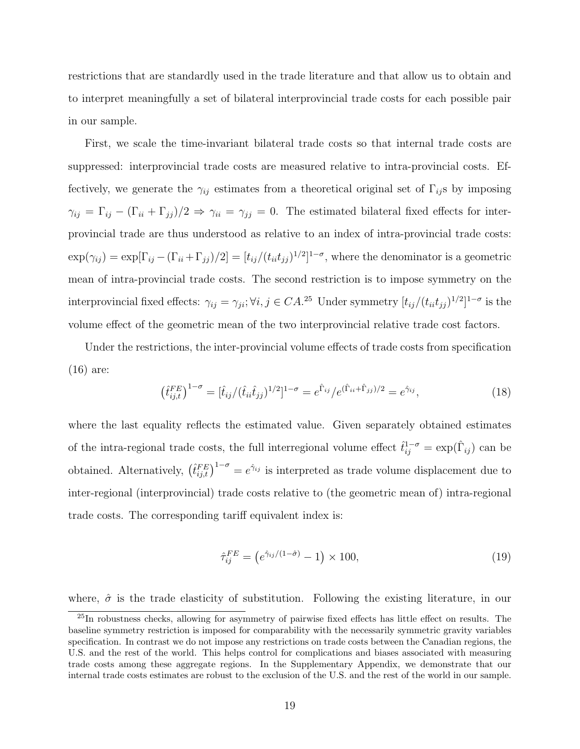restrictions that are standardly used in the trade literature and that allow us to obtain and to interpret meaningfully a set of bilateral interprovincial trade costs for each possible pair in our sample.

First, we scale the time-invariant bilateral trade costs so that internal trade costs are suppressed: interprovincial trade costs are measured relative to intra-provincial costs. Effectively, we generate the  $\gamma_{ij}$  estimates from a theoretical original set of  $\Gamma_{ij}$ s by imposing  $\gamma_{ij} = \Gamma_{ij} - (\Gamma_{ii} + \Gamma_{jj})/2 \Rightarrow \gamma_{ii} = \gamma_{jj} = 0$ . The estimated bilateral fixed effects for interprovincial trade are thus understood as relative to an index of intra-provincial trade costs:  $\exp(\gamma_{ij}) = \exp[\Gamma_{ij} - (\Gamma_{ii} + \Gamma_{jj})/2] = [t_{ij}/(t_{ii}t_{jj})^{1/2}]^{1-\sigma}$ , where the denominator is a geometric mean of intra-provincial trade costs. The second restriction is to impose symmetry on the interprovincial fixed effects:  $\gamma_{ij} = \gamma_{ji}$ ;  $\forall i, j \in CA$ .<sup>25</sup> Under symmetry  $[t_{ij}/(t_{ii}t_{jj})^{1/2}]^{1-\sigma}$  is the volume effect of the geometric mean of the two interprovincial relative trade cost factors.

Under the restrictions, the inter-provincial volume effects of trade costs from specification (16) are:

$$
\left(\hat{t}_{ij,t}^{FE}\right)^{1-\sigma} = [\hat{t}_{ij}/(\hat{t}_{ii}\hat{t}_{jj})^{1/2}]^{1-\sigma} = e^{\hat{\Gamma}_{ij}}/e^{(\hat{\Gamma}_{ii}+\hat{\Gamma}_{jj})/2} = e^{\hat{\gamma}_{ij}},\tag{18}
$$

where the last equality reflects the estimated value. Given separately obtained estimates of the intra-regional trade costs, the full interregional volume effect  $\hat{t}_{ij}^{1-\sigma} = \exp(\hat{\Gamma}_{ij})$  can be obtained. Alternatively,  $(\hat{t}_{ij,t}^{FE})^{1-\sigma} = e^{\hat{\gamma}_{ij}}$  is interpreted as trade volume displacement due to inter-regional (interprovincial) trade costs relative to (the geometric mean of) intra-regional trade costs. The corresponding tariff equivalent index is:

$$
\hat{\tau}_{ij}^{FE} = \left(e^{\hat{\gamma}_{ij}/(1-\hat{\sigma})} - 1\right) \times 100,\tag{19}
$$

where,  $\hat{\sigma}$  is the trade elasticity of substitution. Following the existing literature, in our

<sup>25</sup>In robustness checks, allowing for asymmetry of pairwise fixed effects has little effect on results. The baseline symmetry restriction is imposed for comparability with the necessarily symmetric gravity variables specification. In contrast we do not impose any restrictions on trade costs between the Canadian regions, the U.S. and the rest of the world. This helps control for complications and biases associated with measuring trade costs among these aggregate regions. In the Supplementary Appendix, we demonstrate that our internal trade costs estimates are robust to the exclusion of the U.S. and the rest of the world in our sample.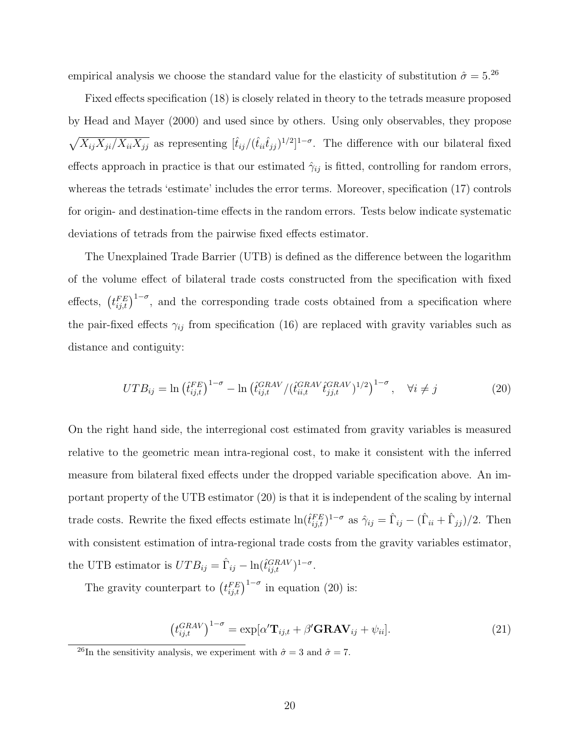empirical analysis we choose the standard value for the elasticity of substitution  $\hat{\sigma} = 5.^{26}$ 

Fixed effects specification (18) is closely related in theory to the tetrads measure proposed by Head and Mayer (2000) and used since by others. Using only observables, they propose  $\sqrt{X_{ij}X_{ji}/X_{ii}X_{jj}}$  as representing  $[\hat{t}_{ij}/(\hat{t}_{ii}\hat{t}_{jj})^{1/2}]^{1-\sigma}$ . The difference with our bilateral fixed effects approach in practice is that our estimated  $\hat{\gamma}_{ij}$  is fitted, controlling for random errors, whereas the tetrads 'estimate' includes the error terms. Moreover, specification (17) controls for origin- and destination-time effects in the random errors. Tests below indicate systematic deviations of tetrads from the pairwise fixed effects estimator.

The Unexplained Trade Barrier (UTB) is defined as the difference between the logarithm of the volume effect of bilateral trade costs constructed from the specification with fixed effects,  $(t_{ij,t}^{FE})^{1-\sigma}$ , and the corresponding trade costs obtained from a specification where the pair-fixed effects  $\gamma_{ij}$  from specification (16) are replaced with gravity variables such as distance and contiguity:

$$
UTB_{ij} = \ln \left( \hat{t}_{ij,t}^{FE} \right)^{1-\sigma} - \ln \left( \hat{t}_{ij,t}^{GRAV} / (\hat{t}_{ii,t}^{GRAV} \hat{t}_{jj,t}^{GRAV})^{1/2} \right)^{1-\sigma}, \quad \forall i \neq j
$$
 (20)

On the right hand side, the interregional cost estimated from gravity variables is measured relative to the geometric mean intra-regional cost, to make it consistent with the inferred measure from bilateral fixed effects under the dropped variable specification above. An important property of the UTB estimator (20) is that it is independent of the scaling by internal trade costs. Rewrite the fixed effects estimate  $\ln(\hat{t}^{FE}_{ij,t})^{1-\sigma}$  as  $\hat{\gamma}_{ij} = \hat{\Gamma}_{ij} - (\hat{\Gamma}_{ii} + \hat{\Gamma}_{jj})/2$ . Then with consistent estimation of intra-regional trade costs from the gravity variables estimator, the UTB estimator is  $UTB_{ij} = \hat{\Gamma}_{ij} - \ln(\hat{t}_{ij,t}^{GRAV})^{1-\sigma}$ .

The gravity counterpart to  $(t_{ij,t}^{FE})^{1-\sigma}$  in equation (20) is:

$$
\left(t_{ij,t}^{GRAV}\right)^{1-\sigma} = \exp[\alpha' \mathbf{T}_{ij,t} + \beta' \mathbf{GRAV}_{ij} + \psi_{ii}]. \tag{21}
$$

<sup>26</sup>In the sensitivity analysis, we experiment with  $\hat{\sigma} = 3$  and  $\hat{\sigma} = 7$ .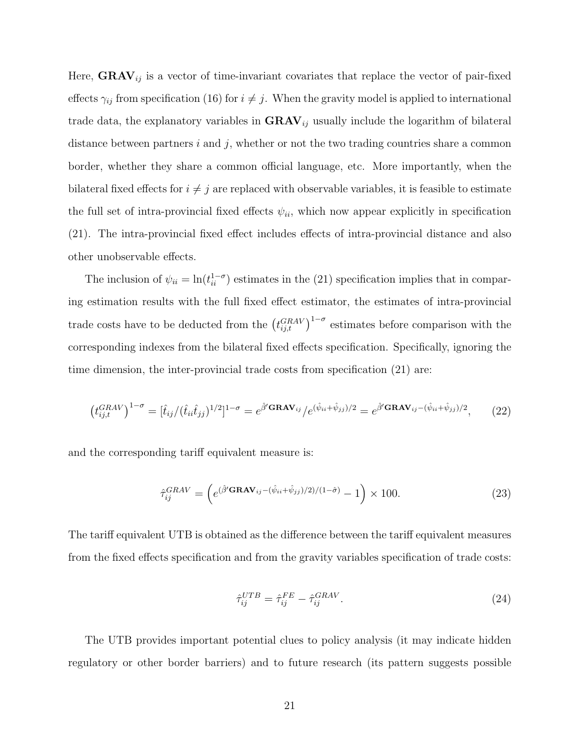Here,  $\text{GRAV}_{ij}$  is a vector of time-invariant covariates that replace the vector of pair-fixed effects  $\gamma_{ij}$  from specification (16) for  $i \neq j$ . When the gravity model is applied to international trade data, the explanatory variables in  $\text{GRAV}_{ij}$  usually include the logarithm of bilateral distance between partners i and j, whether or not the two trading countries share a common border, whether they share a common official language, etc. More importantly, when the bilateral fixed effects for  $i \neq j$  are replaced with observable variables, it is feasible to estimate the full set of intra-provincial fixed effects  $\psi_{ii}$ , which now appear explicitly in specification (21). The intra-provincial fixed effect includes effects of intra-provincial distance and also other unobservable effects.

The inclusion of  $\psi_{ii} = \ln(t_{ii}^{1-\sigma})$  estimates in the (21) specification implies that in comparing estimation results with the full fixed effect estimator, the estimates of intra-provincial trade costs have to be deducted from the  $(t_{ij,t}^{GRAV})^{1-\sigma}$  estimates before comparison with the corresponding indexes from the bilateral fixed effects specification. Specifically, ignoring the time dimension, the inter-provincial trade costs from specification (21) are:

$$
\left(t_{ij,t}^{GRAV}\right)^{1-\sigma} = [\hat{t}_{ij}/(\hat{t}_{ii}\hat{t}_{jj})^{1/2}]^{1-\sigma} = e^{\hat{\beta}'\mathbf{GRAV}_{ij}}/e^{(\hat{\psi}_{ii}+\hat{\psi}_{jj})/2} = e^{\hat{\beta}'\mathbf{GRAV}_{ij}-(\hat{\psi}_{ii}+\hat{\psi}_{jj})/2},\tag{22}
$$

and the corresponding tariff equivalent measure is:

$$
\hat{\tau}_{ij}^{GRAV} = \left(e^{(\hat{\beta}^{\prime} \mathbf{GRAV}_{ij} - (\hat{\psi}_{ii} + \hat{\psi}_{jj})/2)/(1-\hat{\sigma})} - 1\right) \times 100. \tag{23}
$$

The tariff equivalent UTB is obtained as the difference between the tariff equivalent measures from the fixed effects specification and from the gravity variables specification of trade costs:

$$
\hat{\tau}_{ij}^{UTB} = \hat{\tau}_{ij}^{FE} - \hat{\tau}_{ij}^{GRAV}.
$$
\n(24)

The UTB provides important potential clues to policy analysis (it may indicate hidden regulatory or other border barriers) and to future research (its pattern suggests possible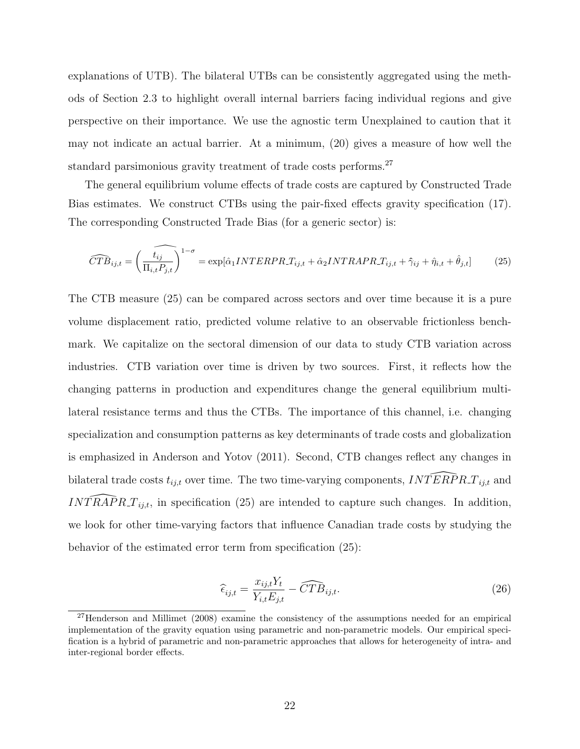explanations of UTB). The bilateral UTBs can be consistently aggregated using the methods of Section 2.3 to highlight overall internal barriers facing individual regions and give perspective on their importance. We use the agnostic term Unexplained to caution that it may not indicate an actual barrier. At a minimum, (20) gives a measure of how well the standard parsimonious gravity treatment of trade costs performs.<sup>27</sup>

The general equilibrium volume effects of trade costs are captured by Constructed Trade Bias estimates. We construct CTBs using the pair-fixed effects gravity specification (17). The corresponding Constructed Trade Bias (for a generic sector) is:

$$
\widehat{CTB}_{ij,t} = \left(\widehat{\frac{t_{ij}}{\Pi_{i,t}P_{j,t}}}\right)^{1-\sigma} = \exp[\hat{\alpha}_1 INTERPR \cdot T_{ij,t} + \hat{\alpha}_2 INTRAPR \cdot T_{ij,t} + \hat{\gamma}_{ij} + \hat{\eta}_{i,t} + \hat{\theta}_{j,t}] \tag{25}
$$

The CTB measure (25) can be compared across sectors and over time because it is a pure volume displacement ratio, predicted volume relative to an observable frictionless benchmark. We capitalize on the sectoral dimension of our data to study CTB variation across industries. CTB variation over time is driven by two sources. First, it reflects how the changing patterns in production and expenditures change the general equilibrium multilateral resistance terms and thus the CTBs. The importance of this channel, i.e. changing specialization and consumption patterns as key determinants of trade costs and globalization is emphasized in Anderson and Yotov (2011). Second, CTB changes reflect any changes in bilateral trade costs  $t_{ij,t}$  over time. The two time-varying components,  $INTERPR \ T_{ij,t}$  and INTRAPR  $T_{ij,t}$ , in specification (25) are intended to capture such changes. In addition, we look for other time-varying factors that influence Canadian trade costs by studying the behavior of the estimated error term from specification (25):

$$
\widehat{\epsilon}_{ij,t} = \frac{x_{ij,t} Y_t}{Y_{i,t} E_{j,t}} - \widehat{CTB}_{ij,t}.
$$
\n(26)

<sup>&</sup>lt;sup>27</sup>Henderson and Millimet (2008) examine the consistency of the assumptions needed for an empirical implementation of the gravity equation using parametric and non-parametric models. Our empirical specification is a hybrid of parametric and non-parametric approaches that allows for heterogeneity of intra- and inter-regional border effects.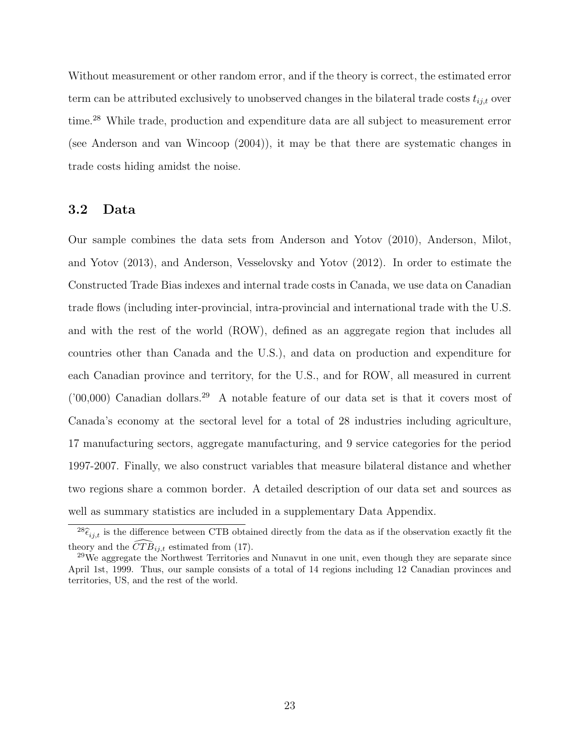Without measurement or other random error, and if the theory is correct, the estimated error term can be attributed exclusively to unobserved changes in the bilateral trade costs  $t_{i,i,t}$  over time.<sup>28</sup> While trade, production and expenditure data are all subject to measurement error (see Anderson and van Wincoop (2004)), it may be that there are systematic changes in trade costs hiding amidst the noise.

## 3.2 Data

Our sample combines the data sets from Anderson and Yotov (2010), Anderson, Milot, and Yotov (2013), and Anderson, Vesselovsky and Yotov (2012). In order to estimate the Constructed Trade Bias indexes and internal trade costs in Canada, we use data on Canadian trade flows (including inter-provincial, intra-provincial and international trade with the U.S. and with the rest of the world (ROW), defined as an aggregate region that includes all countries other than Canada and the U.S.), and data on production and expenditure for each Canadian province and territory, for the U.S., and for ROW, all measured in current ('00,000) Canadian dollars.<sup>29</sup> A notable feature of our data set is that it covers most of Canada's economy at the sectoral level for a total of 28 industries including agriculture, 17 manufacturing sectors, aggregate manufacturing, and 9 service categories for the period 1997-2007. Finally, we also construct variables that measure bilateral distance and whether two regions share a common border. A detailed description of our data set and sources as well as summary statistics are included in a supplementary Data Appendix.

 $^{28}\hat{\epsilon}_{ij,t}$  is the difference between CTB obtained directly from the data as if the observation exactly fit the theory and the  $\widehat{CTB}_{i,i,t}$  estimated from (17).

 $^{29}$ We aggregate the Northwest Territories and Nunavut in one unit, even though they are separate since April 1st, 1999. Thus, our sample consists of a total of 14 regions including 12 Canadian provinces and territories, US, and the rest of the world.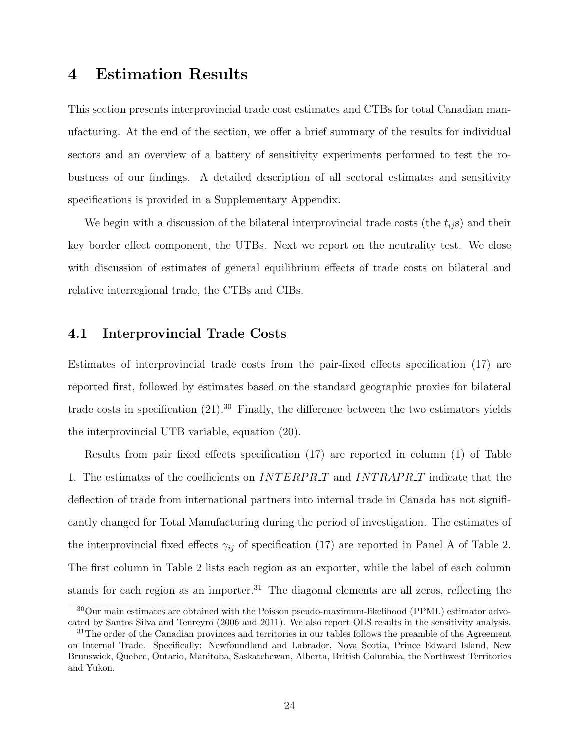## 4 Estimation Results

This section presents interprovincial trade cost estimates and CTBs for total Canadian manufacturing. At the end of the section, we offer a brief summary of the results for individual sectors and an overview of a battery of sensitivity experiments performed to test the robustness of our findings. A detailed description of all sectoral estimates and sensitivity specifications is provided in a Supplementary Appendix.

We begin with a discussion of the bilateral interprovincial trade costs (the  $t_{ij}$ s) and their key border effect component, the UTBs. Next we report on the neutrality test. We close with discussion of estimates of general equilibrium effects of trade costs on bilateral and relative interregional trade, the CTBs and CIBs.

### 4.1 Interprovincial Trade Costs

Estimates of interprovincial trade costs from the pair-fixed effects specification (17) are reported first, followed by estimates based on the standard geographic proxies for bilateral trade costs in specification  $(21)$ .<sup>30</sup> Finally, the difference between the two estimators yields the interprovincial UTB variable, equation (20).

Results from pair fixed effects specification (17) are reported in column (1) of Table 1. The estimates of the coefficients on *INTERPRT* and *INTRAPRT* indicate that the deflection of trade from international partners into internal trade in Canada has not significantly changed for Total Manufacturing during the period of investigation. The estimates of the interprovincial fixed effects  $\gamma_{ij}$  of specification (17) are reported in Panel A of Table 2. The first column in Table 2 lists each region as an exporter, while the label of each column stands for each region as an importer.<sup>31</sup> The diagonal elements are all zeros, reflecting the

<sup>30</sup>Our main estimates are obtained with the Poisson pseudo-maximum-likelihood (PPML) estimator advocated by Santos Silva and Tenreyro (2006 and 2011). We also report OLS results in the sensitivity analysis.

<sup>&</sup>lt;sup>31</sup>The order of the Canadian provinces and territories in our tables follows the preamble of the Agreement on Internal Trade. Specifically: Newfoundland and Labrador, Nova Scotia, Prince Edward Island, New Brunswick, Quebec, Ontario, Manitoba, Saskatchewan, Alberta, British Columbia, the Northwest Territories and Yukon.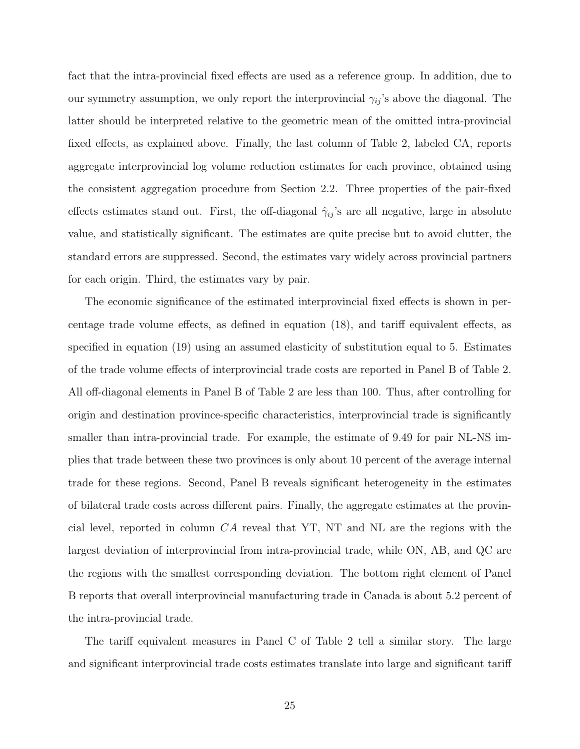fact that the intra-provincial fixed effects are used as a reference group. In addition, due to our symmetry assumption, we only report the interprovincial  $\gamma_{ij}$ 's above the diagonal. The latter should be interpreted relative to the geometric mean of the omitted intra-provincial fixed effects, as explained above. Finally, the last column of Table 2, labeled CA, reports aggregate interprovincial log volume reduction estimates for each province, obtained using the consistent aggregation procedure from Section 2.2. Three properties of the pair-fixed effects estimates stand out. First, the off-diagonal  $\hat{\gamma}_{ij}$ 's are all negative, large in absolute value, and statistically significant. The estimates are quite precise but to avoid clutter, the standard errors are suppressed. Second, the estimates vary widely across provincial partners for each origin. Third, the estimates vary by pair.

The economic significance of the estimated interprovincial fixed effects is shown in percentage trade volume effects, as defined in equation (18), and tariff equivalent effects, as specified in equation (19) using an assumed elasticity of substitution equal to 5. Estimates of the trade volume effects of interprovincial trade costs are reported in Panel B of Table 2. All off-diagonal elements in Panel B of Table 2 are less than 100. Thus, after controlling for origin and destination province-specific characteristics, interprovincial trade is significantly smaller than intra-provincial trade. For example, the estimate of 9.49 for pair NL-NS implies that trade between these two provinces is only about 10 percent of the average internal trade for these regions. Second, Panel B reveals significant heterogeneity in the estimates of bilateral trade costs across different pairs. Finally, the aggregate estimates at the provincial level, reported in column  $CA$  reveal that YT, NT and NL are the regions with the largest deviation of interprovincial from intra-provincial trade, while ON, AB, and QC are the regions with the smallest corresponding deviation. The bottom right element of Panel B reports that overall interprovincial manufacturing trade in Canada is about 5.2 percent of the intra-provincial trade.

The tariff equivalent measures in Panel C of Table 2 tell a similar story. The large and significant interprovincial trade costs estimates translate into large and significant tariff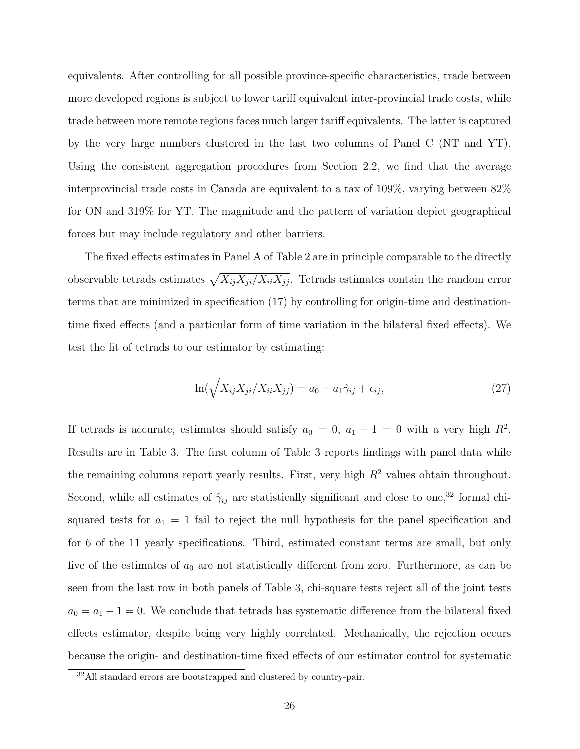equivalents. After controlling for all possible province-specific characteristics, trade between more developed regions is subject to lower tariff equivalent inter-provincial trade costs, while trade between more remote regions faces much larger tariff equivalents. The latter is captured by the very large numbers clustered in the last two columns of Panel C (NT and YT). Using the consistent aggregation procedures from Section 2.2, we find that the average interprovincial trade costs in Canada are equivalent to a tax of 109%, varying between 82% for ON and 319% for YT. The magnitude and the pattern of variation depict geographical forces but may include regulatory and other barriers.

The fixed effects estimates in Panel A of Table 2 are in principle comparable to the directly observable tetrads estimates  $\sqrt{X_{ij}X_{ji}/X_{ii}X_{jj}}$ . Tetrads estimates contain the random error terms that are minimized in specification (17) by controlling for origin-time and destinationtime fixed effects (and a particular form of time variation in the bilateral fixed effects). We test the fit of tetrads to our estimator by estimating:

$$
\ln(\sqrt{X_{ij}X_{ji}/X_{ii}X_{jj}}) = a_0 + a_1\hat{\gamma}_{ij} + \epsilon_{ij},\tag{27}
$$

If tetrads is accurate, estimates should satisfy  $a_0 = 0$ ,  $a_1 - 1 = 0$  with a very high  $R^2$ . Results are in Table 3. The first column of Table 3 reports findings with panel data while the remaining columns report yearly results. First, very high  $R^2$  values obtain throughout. Second, while all estimates of  $\hat{\gamma}_{ij}$  are statistically significant and close to one,<sup>32</sup> formal chisquared tests for  $a_1 = 1$  fail to reject the null hypothesis for the panel specification and for 6 of the 11 yearly specifications. Third, estimated constant terms are small, but only five of the estimates of  $a_0$  are not statistically different from zero. Furthermore, as can be seen from the last row in both panels of Table 3, chi-square tests reject all of the joint tests  $a_0 = a_1 - 1 = 0$ . We conclude that tetrads has systematic difference from the bilateral fixed effects estimator, despite being very highly correlated. Mechanically, the rejection occurs because the origin- and destination-time fixed effects of our estimator control for systematic

<sup>32</sup>All standard errors are bootstrapped and clustered by country-pair.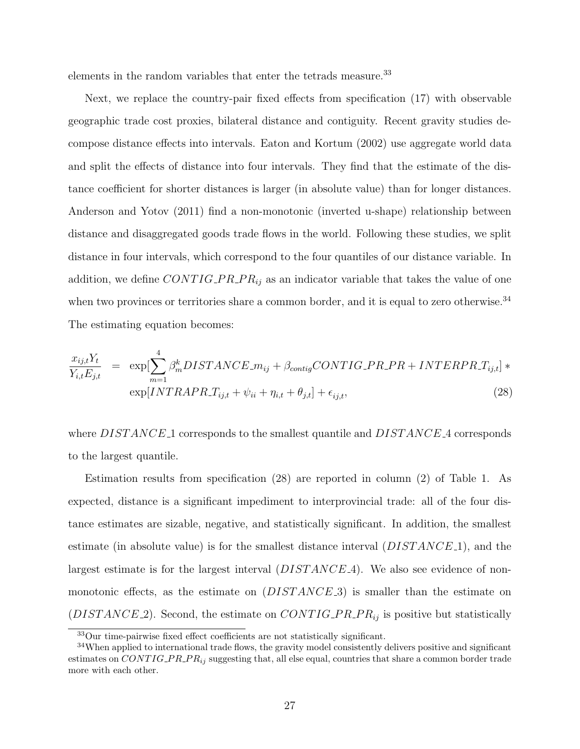elements in the random variables that enter the tetrads measure.<sup>33</sup>

Next, we replace the country-pair fixed effects from specification (17) with observable geographic trade cost proxies, bilateral distance and contiguity. Recent gravity studies decompose distance effects into intervals. Eaton and Kortum (2002) use aggregate world data and split the effects of distance into four intervals. They find that the estimate of the distance coefficient for shorter distances is larger (in absolute value) than for longer distances. Anderson and Yotov (2011) find a non-monotonic (inverted u-shape) relationship between distance and disaggregated goods trade flows in the world. Following these studies, we split distance in four intervals, which correspond to the four quantiles of our distance variable. In addition, we define  $CONTIG\_PR\_PR_{ij}$  as an indicator variable that takes the value of one when two provinces or territories share a common border, and it is equal to zero otherwise.<sup>34</sup> The estimating equation becomes:

$$
\frac{x_{ij,t}Y_t}{Y_{i,t}E_{j,t}} = \exp[\sum_{m=1}^4 \beta_m^k DISTANCE_m_{ij} + \beta_{contigCONTIG\_PR\_PR + INTERPR\_T_{ij,t}] * \exp[INTRAPRT_{ij,t} + \psi_{ii} + \eta_{i,t} + \theta_{j,t}] + \epsilon_{ij,t},
$$
\n(28)

where DISTANCE<sub>1</sub> corresponds to the smallest quantile and DISTANCE<sub>4</sub> corresponds to the largest quantile.

Estimation results from specification (28) are reported in column (2) of Table 1. As expected, distance is a significant impediment to interprovincial trade: all of the four distance estimates are sizable, negative, and statistically significant. In addition, the smallest estimate (in absolute value) is for the smallest distance interval  $(DISTANCE_1)$ , and the largest estimate is for the largest interval  $(DISTANCE.4)$ . We also see evidence of nonmonotonic effects, as the estimate on  $(DISTANCE.3)$  is smaller than the estimate on ( $DISTANCE_2$ ). Second, the estimate on  $CONTIG\_PR\_PR_{ij}$  is positive but statistically

<sup>33</sup>Our time-pairwise fixed effect coefficients are not statistically significant.

<sup>&</sup>lt;sup>34</sup>When applied to international trade flows, the gravity model consistently delivers positive and significant estimates on  $CONTIG\_PR\_PR_{ij}$  suggesting that, all else equal, countries that share a common border trade more with each other.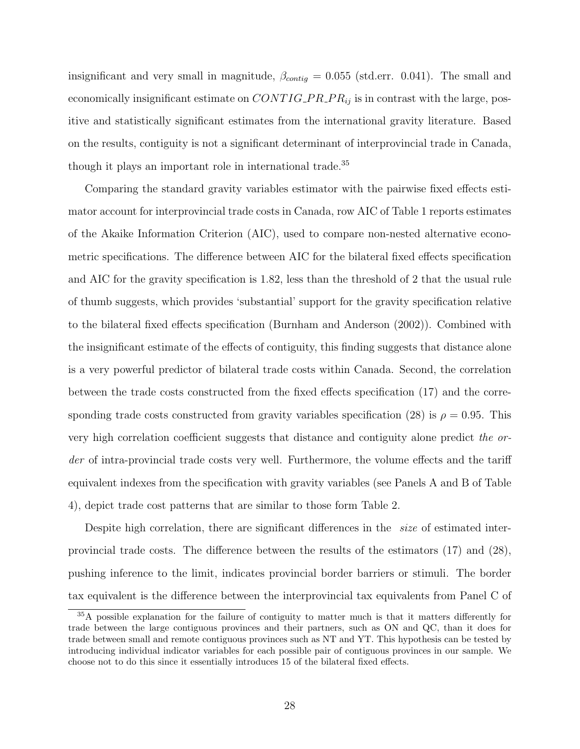insignificant and very small in magnitude,  $\beta_{contig} = 0.055$  (std.err. 0.041). The small and economically insignificant estimate on  $CONTIG\_PR\_PR_{ij}$  is in contrast with the large, positive and statistically significant estimates from the international gravity literature. Based on the results, contiguity is not a significant determinant of interprovincial trade in Canada, though it plays an important role in international trade.<sup>35</sup>

Comparing the standard gravity variables estimator with the pairwise fixed effects estimator account for interprovincial trade costs in Canada, row AIC of Table 1 reports estimates of the Akaike Information Criterion (AIC), used to compare non-nested alternative econometric specifications. The difference between AIC for the bilateral fixed effects specification and AIC for the gravity specification is 1.82, less than the threshold of 2 that the usual rule of thumb suggests, which provides 'substantial' support for the gravity specification relative to the bilateral fixed effects specification (Burnham and Anderson (2002)). Combined with the insignificant estimate of the effects of contiguity, this finding suggests that distance alone is a very powerful predictor of bilateral trade costs within Canada. Second, the correlation between the trade costs constructed from the fixed effects specification (17) and the corresponding trade costs constructed from gravity variables specification (28) is  $\rho = 0.95$ . This very high correlation coefficient suggests that distance and contiguity alone predict the order of intra-provincial trade costs very well. Furthermore, the volume effects and the tariff equivalent indexes from the specification with gravity variables (see Panels A and B of Table 4), depict trade cost patterns that are similar to those form Table 2.

Despite high correlation, there are significant differences in the *size* of estimated interprovincial trade costs. The difference between the results of the estimators (17) and (28), pushing inference to the limit, indicates provincial border barriers or stimuli. The border tax equivalent is the difference between the interprovincial tax equivalents from Panel C of

<sup>35</sup>A possible explanation for the failure of contiguity to matter much is that it matters differently for trade between the large contiguous provinces and their partners, such as ON and QC, than it does for trade between small and remote contiguous provinces such as NT and YT. This hypothesis can be tested by introducing individual indicator variables for each possible pair of contiguous provinces in our sample. We choose not to do this since it essentially introduces 15 of the bilateral fixed effects.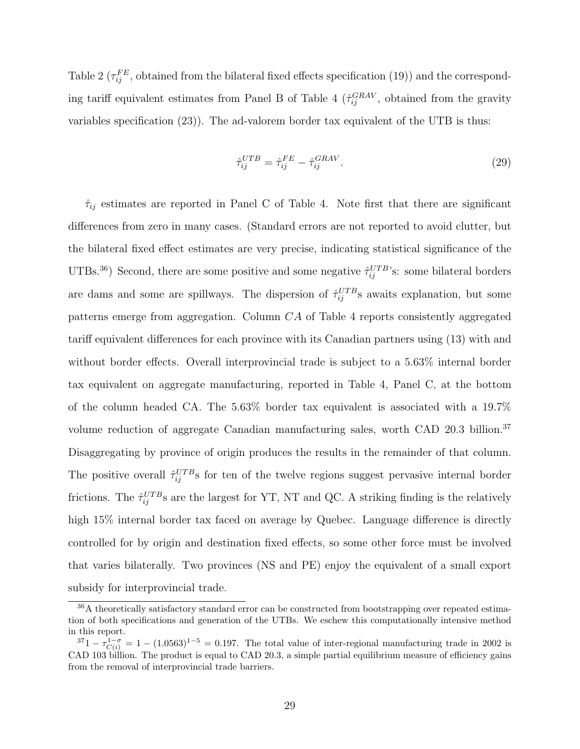Table 2 ( $\tau_{ij}^{FE}$ , obtained from the bilateral fixed effects specification (19)) and the corresponding tariff equivalent estimates from Panel B of Table 4 ( $\hat{\tau}_{ij}^{GRAV}$ , obtained from the gravity variables specification (23)). The ad-valorem border tax equivalent of the UTB is thus:

$$
\hat{\tau}_{ij}^{UTB} = \hat{\tau}_{ij}^{FE} - \hat{\tau}_{ij}^{GRAV}.
$$
\n(29)

 $\hat{\tau}_{ij}$  estimates are reported in Panel C of Table 4. Note first that there are significant differences from zero in many cases. (Standard errors are not reported to avoid clutter, but the bilateral fixed effect estimates are very precise, indicating statistical significance of the UTBs.<sup>36</sup>) Second, there are some positive and some negative  $\hat{\tau}_{ij}^{UTB}$ 's: some bilateral borders are dams and some are spillways. The dispersion of  $\hat{\tau}_{ij}^{UTB}$ s awaits explanation, but some patterns emerge from aggregation. Column CA of Table 4 reports consistently aggregated tariff equivalent differences for each province with its Canadian partners using (13) with and without border effects. Overall interprovincial trade is subject to a 5.63% internal border tax equivalent on aggregate manufacturing, reported in Table 4, Panel C, at the bottom of the column headed CA. The 5.63% border tax equivalent is associated with a 19.7% volume reduction of aggregate Canadian manufacturing sales, worth CAD 20.3 billion.<sup>37</sup> Disaggregating by province of origin produces the results in the remainder of that column. The positive overall  $\hat{\tau}_{ij}^{UTB}$ s for ten of the twelve regions suggest pervasive internal border frictions. The  $\hat{\tau}_{ij}^{UTB}$ s are the largest for YT, NT and QC. A striking finding is the relatively high  $15\%$  internal border tax faced on average by Quebec. Language difference is directly controlled for by origin and destination fixed effects, so some other force must be involved that varies bilaterally. Two provinces (NS and PE) enjoy the equivalent of a small export subsidy for interprovincial trade.

<sup>36</sup>A theoretically satisfactory standard error can be constructed from bootstrapping over repeated estimation of both specifications and generation of the UTBs. We eschew this computationally intensive method in this report.

 $3^71 - \tau_{C(i)}^{1-\sigma} = 1 - (1.0563)^{1-5} = 0.197$ . The total value of inter-regional manufacturing trade in 2002 is CAD 103 billion. The product is equal to CAD 20.3, a simple partial equilibrium measure of efficiency gains from the removal of interprovincial trade barriers.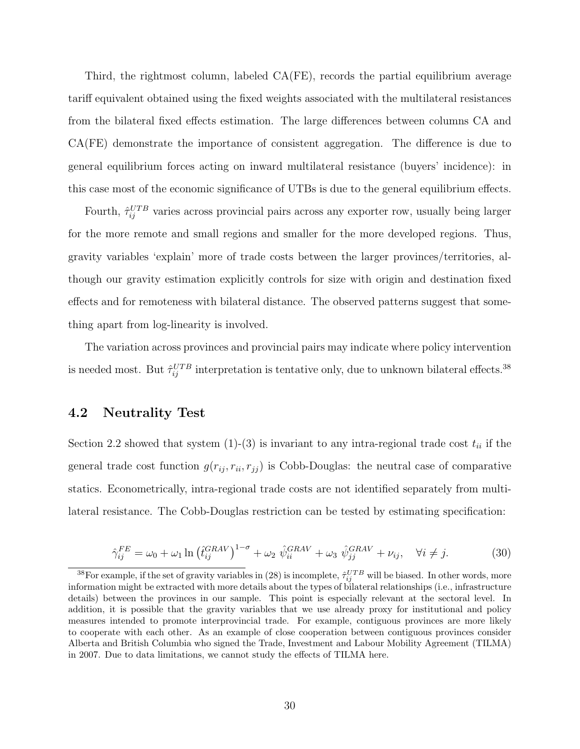Third, the rightmost column, labeled CA(FE), records the partial equilibrium average tariff equivalent obtained using the fixed weights associated with the multilateral resistances from the bilateral fixed effects estimation. The large differences between columns CA and CA(FE) demonstrate the importance of consistent aggregation. The difference is due to general equilibrium forces acting on inward multilateral resistance (buyers' incidence): in this case most of the economic significance of UTBs is due to the general equilibrium effects.

Fourth,  $\hat{\tau}_{ij}^{UTB}$  varies across provincial pairs across any exporter row, usually being larger for the more remote and small regions and smaller for the more developed regions. Thus, gravity variables 'explain' more of trade costs between the larger provinces/territories, although our gravity estimation explicitly controls for size with origin and destination fixed effects and for remoteness with bilateral distance. The observed patterns suggest that something apart from log-linearity is involved.

The variation across provinces and provincial pairs may indicate where policy intervention is needed most. But  $\hat{\tau}_{ij}^{UTB}$  interpretation is tentative only, due to unknown bilateral effects.<sup>38</sup>

## 4.2 Neutrality Test

Section 2.2 showed that system (1)-(3) is invariant to any intra-regional trade cost  $t_{ii}$  if the general trade cost function  $g(r_{ij}, r_{ii}, r_{jj})$  is Cobb-Douglas: the neutral case of comparative statics. Econometrically, intra-regional trade costs are not identified separately from multilateral resistance. The Cobb-Douglas restriction can be tested by estimating specification:

$$
\hat{\gamma}_{ij}^{FE} = \omega_0 + \omega_1 \ln \left( \hat{t}_{ij}^{GRAV} \right)^{1-\sigma} + \omega_2 \ \hat{\psi}_{ii}^{GRAV} + \omega_3 \ \hat{\psi}_{jj}^{GRAV} + \nu_{ij}, \quad \forall i \neq j. \tag{30}
$$

<sup>&</sup>lt;sup>38</sup>For example, if the set of gravity variables in (28) is incomplete,  $\hat{\tau}_{ij}^{UTB}$  will be biased. In other words, more information might be extracted with more details about the types of bilateral relationships (i.e., infrastructure details) between the provinces in our sample. This point is especially relevant at the sectoral level. In addition, it is possible that the gravity variables that we use already proxy for institutional and policy measures intended to promote interprovincial trade. For example, contiguous provinces are more likely to cooperate with each other. As an example of close cooperation between contiguous provinces consider Alberta and British Columbia who signed the Trade, Investment and Labour Mobility Agreement (TILMA) in 2007. Due to data limitations, we cannot study the effects of TILMA here.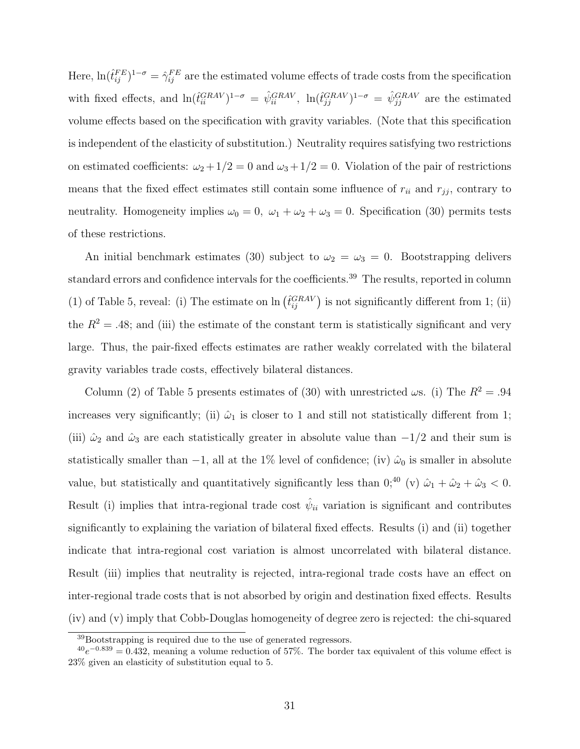Here,  $\ln(\hat{t}_{ij}^{FE})^{1-\sigma} = \hat{\gamma}_{ij}^{FE}$  are the estimated volume effects of trade costs from the specification with fixed effects, and  $\ln(\hat{t}_{ii}^{GRAV})^{1-\sigma} = \hat{\psi}_{ii}^{GRAV}, \ln(\hat{t}_{jj}^{GRAV})^{1-\sigma} = \hat{\psi}_{jj}^{GRAV}$  are the estimated volume effects based on the specification with gravity variables. (Note that this specification is independent of the elasticity of substitution.) Neutrality requires satisfying two restrictions on estimated coefficients:  $\omega_2 + 1/2 = 0$  and  $\omega_3 + 1/2 = 0$ . Violation of the pair of restrictions means that the fixed effect estimates still contain some influence of  $r_{ii}$  and  $r_{jj}$ , contrary to neutrality. Homogeneity implies  $\omega_0 = 0$ ,  $\omega_1 + \omega_2 + \omega_3 = 0$ . Specification (30) permits tests of these restrictions.

An initial benchmark estimates (30) subject to  $\omega_2 = \omega_3 = 0$ . Bootstrapping delivers standard errors and confidence intervals for the coefficients.<sup>39</sup> The results, reported in column (1) of Table 5, reveal: (i) The estimate on  $\ln \left( \hat{t}_{ij}^{GRAV} \right)$  is not significantly different from 1; (ii) the  $R^2 = .48$ ; and (iii) the estimate of the constant term is statistically significant and very large. Thus, the pair-fixed effects estimates are rather weakly correlated with the bilateral gravity variables trade costs, effectively bilateral distances.

Column (2) of Table 5 presents estimates of (30) with unrestricted  $\omega$ s. (i) The  $R^2 = .94$ increases very significantly; (ii)  $\hat{\omega}_1$  is closer to 1 and still not statistically different from 1; (iii)  $\hat{\omega}_2$  and  $\hat{\omega}_3$  are each statistically greater in absolute value than  $-1/2$  and their sum is statistically smaller than  $-1$ , all at the 1% level of confidence; (iv)  $\hat{\omega}_0$  is smaller in absolute value, but statistically and quantitatively significantly less than  $0;^{40}$  (v)  $\hat{\omega}_1 + \hat{\omega}_2 + \hat{\omega}_3 < 0$ . Result (i) implies that intra-regional trade cost  $\hat{\psi}_{ii}$  variation is significant and contributes significantly to explaining the variation of bilateral fixed effects. Results (i) and (ii) together indicate that intra-regional cost variation is almost uncorrelated with bilateral distance. Result (iii) implies that neutrality is rejected, intra-regional trade costs have an effect on inter-regional trade costs that is not absorbed by origin and destination fixed effects. Results (iv) and (v) imply that Cobb-Douglas homogeneity of degree zero is rejected: the chi-squared

 $39B$ ootstrapping is required due to the use of generated regressors.

 $^{40}e^{-0.839} = 0.432$ , meaning a volume reduction of 57%. The border tax equivalent of this volume effect is 23% given an elasticity of substitution equal to 5.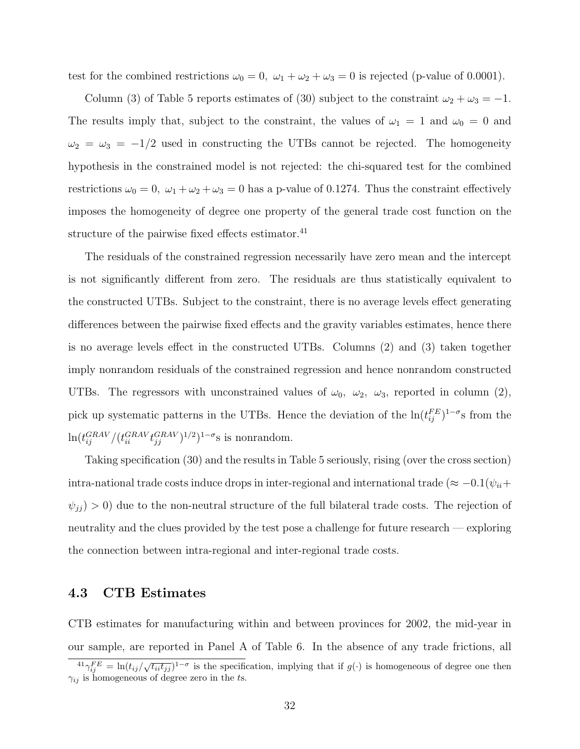test for the combined restrictions  $\omega_0 = 0$ ,  $\omega_1 + \omega_2 + \omega_3 = 0$  is rejected (p-value of 0.0001).

Column (3) of Table 5 reports estimates of (30) subject to the constraint  $\omega_2 + \omega_3 = -1$ . The results imply that, subject to the constraint, the values of  $\omega_1 = 1$  and  $\omega_0 = 0$  and  $\omega_2 = \omega_3 = -1/2$  used in constructing the UTBs cannot be rejected. The homogeneity hypothesis in the constrained model is not rejected: the chi-squared test for the combined restrictions  $\omega_0 = 0$ ,  $\omega_1 + \omega_2 + \omega_3 = 0$  has a p-value of 0.1274. Thus the constraint effectively imposes the homogeneity of degree one property of the general trade cost function on the structure of the pairwise fixed effects estimator.<sup>41</sup>

The residuals of the constrained regression necessarily have zero mean and the intercept is not significantly different from zero. The residuals are thus statistically equivalent to the constructed UTBs. Subject to the constraint, there is no average levels effect generating differences between the pairwise fixed effects and the gravity variables estimates, hence there is no average levels effect in the constructed UTBs. Columns (2) and (3) taken together imply nonrandom residuals of the constrained regression and hence nonrandom constructed UTBs. The regressors with unconstrained values of  $\omega_0$ ,  $\omega_2$ ,  $\omega_3$ , reported in column (2), pick up systematic patterns in the UTBs. Hence the deviation of the  $\ln(t_{ij}^{FE})^{1-\sigma}$ s from the  $\ln(t_{ij}^{GRAV}/(t_{ii}^{GRAV}t_{jj}^{GRAV})^{1/2})^{1-\sigma}$ s is nonrandom.

Taking specification (30) and the results in Table 5 seriously, rising (over the cross section) intra-national trade costs induce drops in inter-regional and international trade ( $\approx -0.1(\psi_{ii}+)$  $\psi_{jj}$   $>$  0) due to the non-neutral structure of the full bilateral trade costs. The rejection of neutrality and the clues provided by the test pose a challenge for future research — exploring the connection between intra-regional and inter-regional trade costs.

## 4.3 CTB Estimates

CTB estimates for manufacturing within and between provinces for 2002, the mid-year in our sample, are reported in Panel A of Table 6. In the absence of any trade frictions, all

 $\frac{41\gamma_{ij}^{FE}}{j} = \ln(t_{ij}/\sqrt{t_{ii}t_{jj}})^{1-\sigma}$  is the specification, implying that if  $g(\cdot)$  is homogeneous of degree one then  $\gamma_{ij}$  is homogeneous of degree zero in the ts.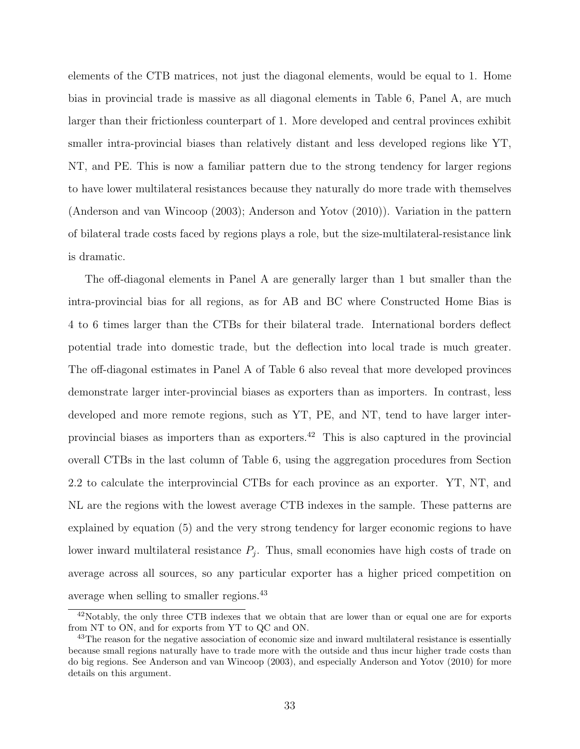elements of the CTB matrices, not just the diagonal elements, would be equal to 1. Home bias in provincial trade is massive as all diagonal elements in Table 6, Panel A, are much larger than their frictionless counterpart of 1. More developed and central provinces exhibit smaller intra-provincial biases than relatively distant and less developed regions like YT, NT, and PE. This is now a familiar pattern due to the strong tendency for larger regions to have lower multilateral resistances because they naturally do more trade with themselves (Anderson and van Wincoop (2003); Anderson and Yotov (2010)). Variation in the pattern of bilateral trade costs faced by regions plays a role, but the size-multilateral-resistance link is dramatic.

The off-diagonal elements in Panel A are generally larger than 1 but smaller than the intra-provincial bias for all regions, as for AB and BC where Constructed Home Bias is 4 to 6 times larger than the CTBs for their bilateral trade. International borders deflect potential trade into domestic trade, but the deflection into local trade is much greater. The off-diagonal estimates in Panel A of Table 6 also reveal that more developed provinces demonstrate larger inter-provincial biases as exporters than as importers. In contrast, less developed and more remote regions, such as YT, PE, and NT, tend to have larger interprovincial biases as importers than as exporters.<sup>42</sup> This is also captured in the provincial overall CTBs in the last column of Table 6, using the aggregation procedures from Section 2.2 to calculate the interprovincial CTBs for each province as an exporter. YT, NT, and NL are the regions with the lowest average CTB indexes in the sample. These patterns are explained by equation (5) and the very strong tendency for larger economic regions to have lower inward multilateral resistance  $P_j$ . Thus, small economies have high costs of trade on average across all sources, so any particular exporter has a higher priced competition on average when selling to smaller regions.<sup>43</sup>

<sup>42</sup>Notably, the only three CTB indexes that we obtain that are lower than or equal one are for exports from NT to ON, and for exports from YT to QC and ON.

<sup>&</sup>lt;sup>43</sup>The reason for the negative association of economic size and inward multilateral resistance is essentially because small regions naturally have to trade more with the outside and thus incur higher trade costs than do big regions. See Anderson and van Wincoop (2003), and especially Anderson and Yotov (2010) for more details on this argument.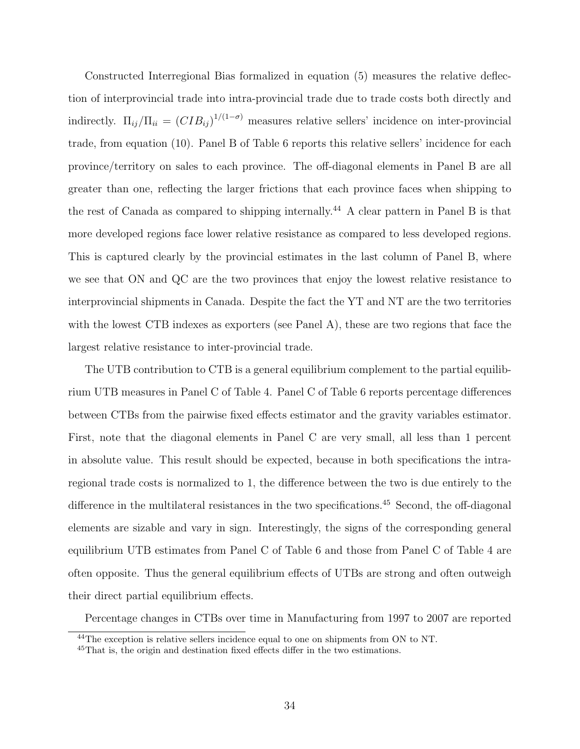Constructed Interregional Bias formalized in equation (5) measures the relative deflection of interprovincial trade into intra-provincial trade due to trade costs both directly and indirectly.  $\Pi_{ij}/\Pi_{ii} = (CIB_{ij})^{1/(1-\sigma)}$  measures relative sellers' incidence on inter-provincial trade, from equation (10). Panel B of Table 6 reports this relative sellers' incidence for each province/territory on sales to each province. The off-diagonal elements in Panel B are all greater than one, reflecting the larger frictions that each province faces when shipping to the rest of Canada as compared to shipping internally.<sup>44</sup> A clear pattern in Panel B is that more developed regions face lower relative resistance as compared to less developed regions. This is captured clearly by the provincial estimates in the last column of Panel B, where we see that ON and QC are the two provinces that enjoy the lowest relative resistance to interprovincial shipments in Canada. Despite the fact the YT and NT are the two territories with the lowest CTB indexes as exporters (see Panel A), these are two regions that face the largest relative resistance to inter-provincial trade.

The UTB contribution to CTB is a general equilibrium complement to the partial equilibrium UTB measures in Panel C of Table 4. Panel C of Table 6 reports percentage differences between CTBs from the pairwise fixed effects estimator and the gravity variables estimator. First, note that the diagonal elements in Panel C are very small, all less than 1 percent in absolute value. This result should be expected, because in both specifications the intraregional trade costs is normalized to 1, the difference between the two is due entirely to the difference in the multilateral resistances in the two specifications.<sup>45</sup> Second, the off-diagonal elements are sizable and vary in sign. Interestingly, the signs of the corresponding general equilibrium UTB estimates from Panel C of Table 6 and those from Panel C of Table 4 are often opposite. Thus the general equilibrium effects of UTBs are strong and often outweigh their direct partial equilibrium effects.

Percentage changes in CTBs over time in Manufacturing from 1997 to 2007 are reported

<sup>&</sup>lt;sup>44</sup>The exception is relative sellers incidence equal to one on shipments from ON to NT.

<sup>&</sup>lt;sup>45</sup>That is, the origin and destination fixed effects differ in the two estimations.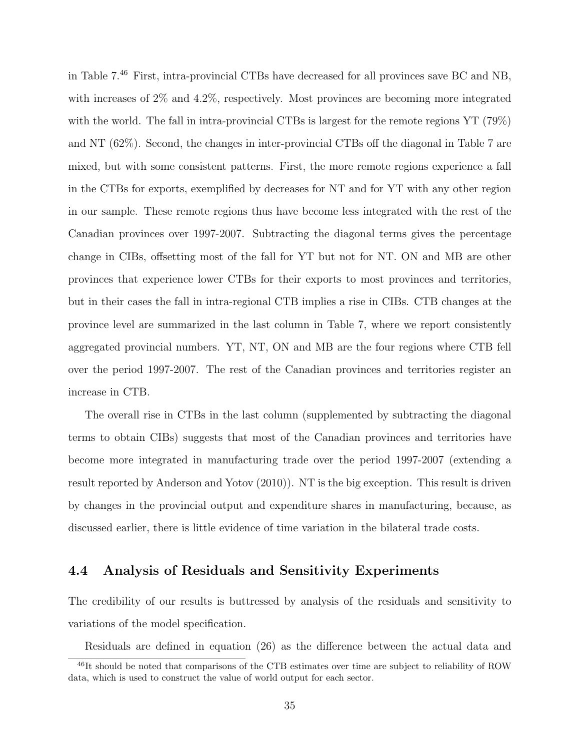in Table 7.<sup>46</sup> First, intra-provincial CTBs have decreased for all provinces save BC and NB, with increases of  $2\%$  and  $4.2\%$ , respectively. Most provinces are becoming more integrated with the world. The fall in intra-provincial CTBs is largest for the remote regions YT (79%) and NT (62%). Second, the changes in inter-provincial CTBs off the diagonal in Table 7 are mixed, but with some consistent patterns. First, the more remote regions experience a fall in the CTBs for exports, exemplified by decreases for NT and for YT with any other region in our sample. These remote regions thus have become less integrated with the rest of the Canadian provinces over 1997-2007. Subtracting the diagonal terms gives the percentage change in CIBs, offsetting most of the fall for YT but not for NT. ON and MB are other provinces that experience lower CTBs for their exports to most provinces and territories, but in their cases the fall in intra-regional CTB implies a rise in CIBs. CTB changes at the province level are summarized in the last column in Table 7, where we report consistently aggregated provincial numbers. YT, NT, ON and MB are the four regions where CTB fell over the period 1997-2007. The rest of the Canadian provinces and territories register an increase in CTB.

The overall rise in CTBs in the last column (supplemented by subtracting the diagonal terms to obtain CIBs) suggests that most of the Canadian provinces and territories have become more integrated in manufacturing trade over the period 1997-2007 (extending a result reported by Anderson and Yotov (2010)). NT is the big exception. This result is driven by changes in the provincial output and expenditure shares in manufacturing, because, as discussed earlier, there is little evidence of time variation in the bilateral trade costs.

## 4.4 Analysis of Residuals and Sensitivity Experiments

The credibility of our results is buttressed by analysis of the residuals and sensitivity to variations of the model specification.

Residuals are defined in equation (26) as the difference between the actual data and

 $^{46}$ It should be noted that comparisons of the CTB estimates over time are subject to reliability of ROW data, which is used to construct the value of world output for each sector.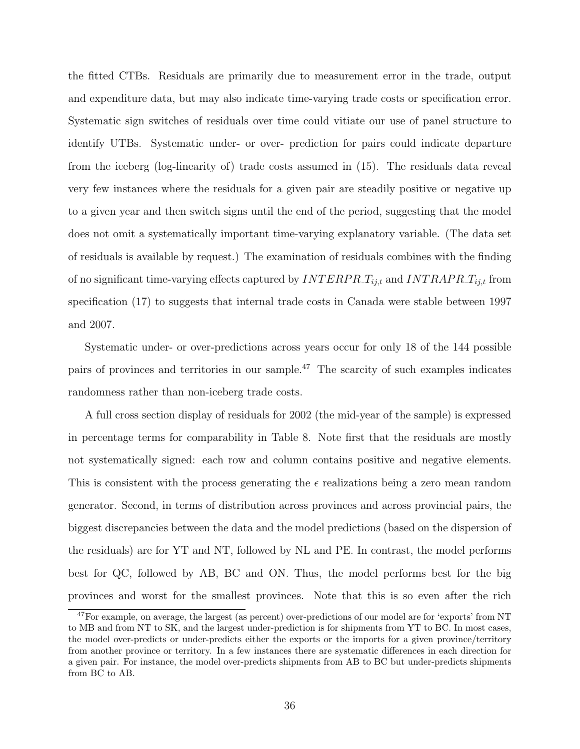the fitted CTBs. Residuals are primarily due to measurement error in the trade, output and expenditure data, but may also indicate time-varying trade costs or specification error. Systematic sign switches of residuals over time could vitiate our use of panel structure to identify UTBs. Systematic under- or over- prediction for pairs could indicate departure from the iceberg (log-linearity of) trade costs assumed in (15). The residuals data reveal very few instances where the residuals for a given pair are steadily positive or negative up to a given year and then switch signs until the end of the period, suggesting that the model does not omit a systematically important time-varying explanatory variable. (The data set of residuals is available by request.) The examination of residuals combines with the finding of no significant time-varying effects captured by  $\text{INTERPR}_{i,j,t}$  and  $\text{INTERPR}_{i,j,t}$  from specification (17) to suggests that internal trade costs in Canada were stable between 1997 and 2007.

Systematic under- or over-predictions across years occur for only 18 of the 144 possible pairs of provinces and territories in our sample.<sup>47</sup> The scarcity of such examples indicates randomness rather than non-iceberg trade costs.

A full cross section display of residuals for 2002 (the mid-year of the sample) is expressed in percentage terms for comparability in Table 8. Note first that the residuals are mostly not systematically signed: each row and column contains positive and negative elements. This is consistent with the process generating the  $\epsilon$  realizations being a zero mean random generator. Second, in terms of distribution across provinces and across provincial pairs, the biggest discrepancies between the data and the model predictions (based on the dispersion of the residuals) are for YT and NT, followed by NL and PE. In contrast, the model performs best for QC, followed by AB, BC and ON. Thus, the model performs best for the big provinces and worst for the smallest provinces. Note that this is so even after the rich

<sup>47</sup>For example, on average, the largest (as percent) over-predictions of our model are for 'exports' from NT to MB and from NT to SK, and the largest under-prediction is for shipments from YT to BC. In most cases, the model over-predicts or under-predicts either the exports or the imports for a given province/territory from another province or territory. In a few instances there are systematic differences in each direction for a given pair. For instance, the model over-predicts shipments from AB to BC but under-predicts shipments from BC to AB.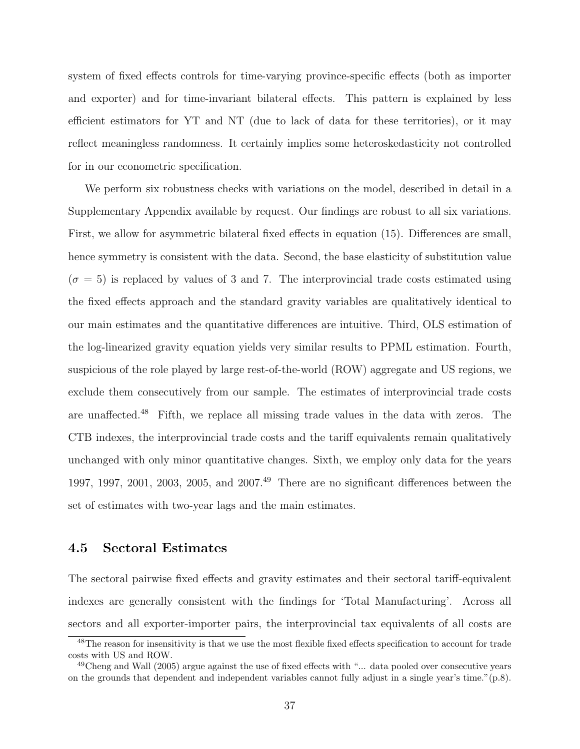system of fixed effects controls for time-varying province-specific effects (both as importer and exporter) and for time-invariant bilateral effects. This pattern is explained by less efficient estimators for YT and NT (due to lack of data for these territories), or it may reflect meaningless randomness. It certainly implies some heteroskedasticity not controlled for in our econometric specification.

We perform six robustness checks with variations on the model, described in detail in a Supplementary Appendix available by request. Our findings are robust to all six variations. First, we allow for asymmetric bilateral fixed effects in equation (15). Differences are small, hence symmetry is consistent with the data. Second, the base elasticity of substitution value  $(\sigma = 5)$  is replaced by values of 3 and 7. The interprovincial trade costs estimated using the fixed effects approach and the standard gravity variables are qualitatively identical to our main estimates and the quantitative differences are intuitive. Third, OLS estimation of the log-linearized gravity equation yields very similar results to PPML estimation. Fourth, suspicious of the role played by large rest-of-the-world (ROW) aggregate and US regions, we exclude them consecutively from our sample. The estimates of interprovincial trade costs are unaffected.<sup>48</sup> Fifth, we replace all missing trade values in the data with zeros. The CTB indexes, the interprovincial trade costs and the tariff equivalents remain qualitatively unchanged with only minor quantitative changes. Sixth, we employ only data for the years 1997, 1997, 2001, 2003, 2005, and 2007.<sup>49</sup> There are no significant differences between the set of estimates with two-year lags and the main estimates.

## 4.5 Sectoral Estimates

The sectoral pairwise fixed effects and gravity estimates and their sectoral tariff-equivalent indexes are generally consistent with the findings for 'Total Manufacturing'. Across all sectors and all exporter-importer pairs, the interprovincial tax equivalents of all costs are

<sup>48</sup>The reason for insensitivity is that we use the most flexible fixed effects specification to account for trade costs with US and ROW.

 $49$ Cheng and Wall (2005) argue against the use of fixed effects with "... data pooled over consecutive years on the grounds that dependent and independent variables cannot fully adjust in a single year's time."(p.8).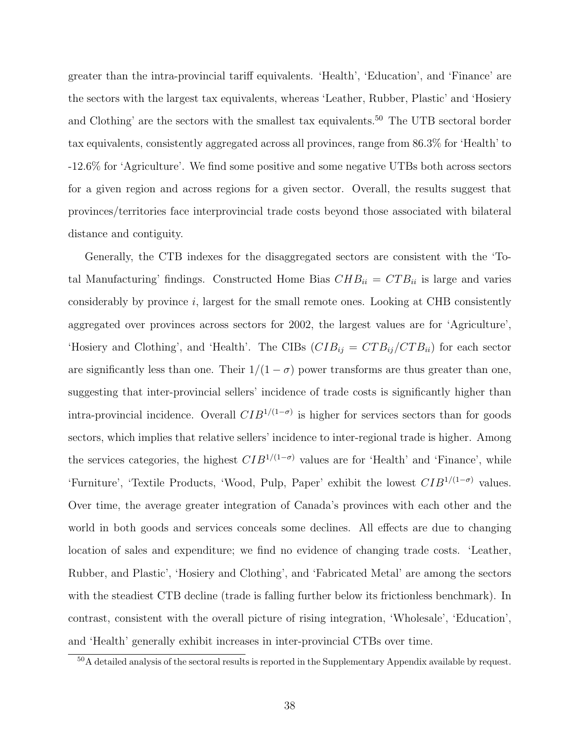greater than the intra-provincial tariff equivalents. 'Health', 'Education', and 'Finance' are the sectors with the largest tax equivalents, whereas 'Leather, Rubber, Plastic' and 'Hosiery and Clothing' are the sectors with the smallest tax equivalents.<sup>50</sup> The UTB sectoral border tax equivalents, consistently aggregated across all provinces, range from 86.3% for 'Health' to -12.6% for 'Agriculture'. We find some positive and some negative UTBs both across sectors for a given region and across regions for a given sector. Overall, the results suggest that provinces/territories face interprovincial trade costs beyond those associated with bilateral distance and contiguity.

Generally, the CTB indexes for the disaggregated sectors are consistent with the 'Total Manufacturing' findings. Constructed Home Bias  $CHB_{ii} = CTB_{ii}$  is large and varies considerably by province i, largest for the small remote ones. Looking at CHB consistently aggregated over provinces across sectors for 2002, the largest values are for 'Agriculture', 'Hosiery and Clothing', and 'Health'. The CIBs  $(CIB_{ij} = CTB_{ij}/CTB_{ii})$  for each sector are significantly less than one. Their  $1/(1 - \sigma)$  power transforms are thus greater than one, suggesting that inter-provincial sellers' incidence of trade costs is significantly higher than intra-provincial incidence. Overall  $CIB^{1/(1-\sigma)}$  is higher for services sectors than for goods sectors, which implies that relative sellers' incidence to inter-regional trade is higher. Among the services categories, the highest  $CIB^{1/(1-\sigma)}$  values are for 'Health' and 'Finance', while 'Furniture', 'Textile Products, 'Wood, Pulp, Paper' exhibit the lowest  $CIB^{1/(1-\sigma)}$  values. Over time, the average greater integration of Canada's provinces with each other and the world in both goods and services conceals some declines. All effects are due to changing location of sales and expenditure; we find no evidence of changing trade costs. 'Leather, Rubber, and Plastic', 'Hosiery and Clothing', and 'Fabricated Metal' are among the sectors with the steadiest CTB decline (trade is falling further below its frictionless benchmark). In contrast, consistent with the overall picture of rising integration, 'Wholesale', 'Education', and 'Health' generally exhibit increases in inter-provincial CTBs over time.

<sup>50</sup>A detailed analysis of the sectoral results is reported in the Supplementary Appendix available by request.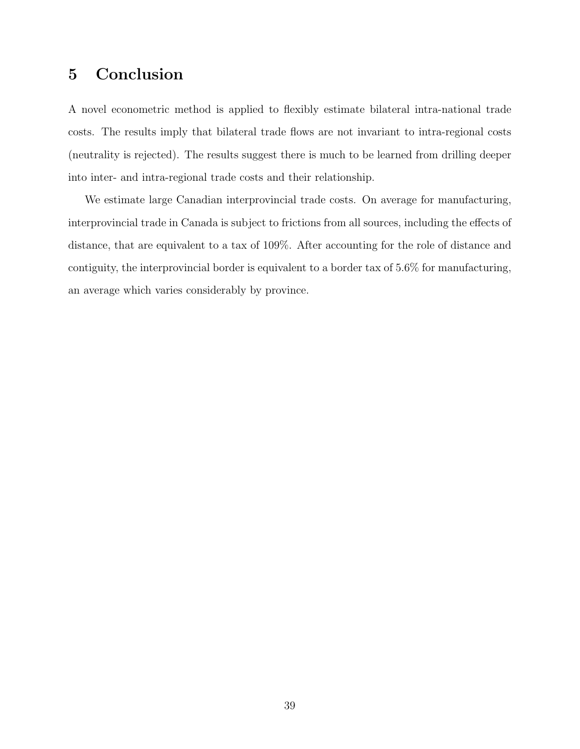## 5 Conclusion

A novel econometric method is applied to flexibly estimate bilateral intra-national trade costs. The results imply that bilateral trade flows are not invariant to intra-regional costs (neutrality is rejected). The results suggest there is much to be learned from drilling deeper into inter- and intra-regional trade costs and their relationship.

We estimate large Canadian interprovincial trade costs. On average for manufacturing, interprovincial trade in Canada is subject to frictions from all sources, including the effects of distance, that are equivalent to a tax of 109%. After accounting for the role of distance and contiguity, the interprovincial border is equivalent to a border tax of 5.6% for manufacturing, an average which varies considerably by province.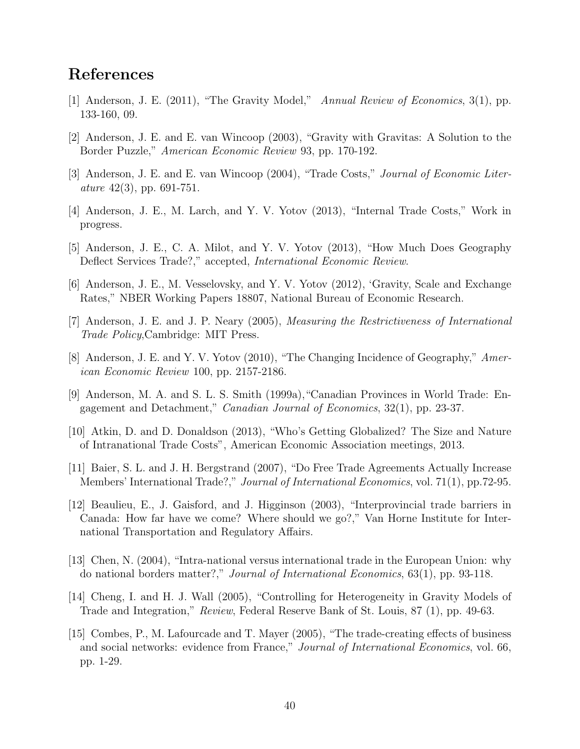# References

- [1] Anderson, J. E. (2011), "The Gravity Model," Annual Review of Economics, 3(1), pp. 133-160, 09.
- [2] Anderson, J. E. and E. van Wincoop (2003), "Gravity with Gravitas: A Solution to the Border Puzzle," American Economic Review 93, pp. 170-192.
- [3] Anderson, J. E. and E. van Wincoop (2004), "Trade Costs," Journal of Economic Liter*ature* 42(3), pp. 691-751.
- [4] Anderson, J. E., M. Larch, and Y. V. Yotov (2013), "Internal Trade Costs," Work in progress.
- [5] Anderson, J. E., C. A. Milot, and Y. V. Yotov (2013), "How Much Does Geography Deflect Services Trade?," accepted, International Economic Review.
- [6] Anderson, J. E., M. Vesselovsky, and Y. V. Yotov (2012), 'Gravity, Scale and Exchange Rates," NBER Working Papers 18807, National Bureau of Economic Research.
- [7] Anderson, J. E. and J. P. Neary (2005), Measuring the Restrictiveness of International Trade Policy,Cambridge: MIT Press.
- [8] Anderson, J. E. and Y. V. Yotov (2010), "The Changing Incidence of Geography," American Economic Review 100, pp. 2157-2186.
- [9] Anderson, M. A. and S. L. S. Smith (1999a),"Canadian Provinces in World Trade: Engagement and Detachment," Canadian Journal of Economics, 32(1), pp. 23-37.
- [10] Atkin, D. and D. Donaldson (2013), "Who's Getting Globalized? The Size and Nature of Intranational Trade Costs", American Economic Association meetings, 2013.
- [11] Baier, S. L. and J. H. Bergstrand (2007), "Do Free Trade Agreements Actually Increase Members' International Trade?," Journal of International Economics, vol. 71(1), pp.72-95.
- [12] Beaulieu, E., J. Gaisford, and J. Higginson (2003), "Interprovincial trade barriers in Canada: How far have we come? Where should we go?," Van Horne Institute for International Transportation and Regulatory Affairs.
- [13] Chen, N. (2004), "Intra-national versus international trade in the European Union: why do national borders matter?," Journal of International Economics, 63(1), pp. 93-118.
- [14] Cheng, I. and H. J. Wall (2005), "Controlling for Heterogeneity in Gravity Models of Trade and Integration," Review, Federal Reserve Bank of St. Louis, 87 (1), pp. 49-63.
- [15] Combes, P., M. Lafourcade and T. Mayer (2005), "The trade-creating effects of business and social networks: evidence from France," Journal of International Economics, vol. 66, pp. 1-29.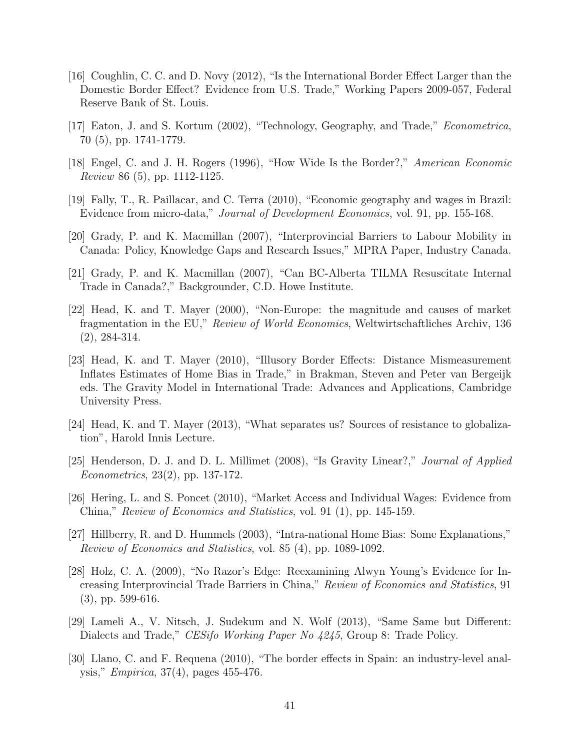- [16] Coughlin, C. C. and D. Novy (2012), "Is the International Border Effect Larger than the Domestic Border Effect? Evidence from U.S. Trade," Working Papers 2009-057, Federal Reserve Bank of St. Louis.
- [17] Eaton, J. and S. Kortum (2002), "Technology, Geography, and Trade," Econometrica. 70 (5), pp. 1741-1779.
- [18] Engel, C. and J. H. Rogers (1996), "How Wide Is the Border?," American Economic Review 86 (5), pp. 1112-1125.
- [19] Fally, T., R. Paillacar, and C. Terra (2010), "Economic geography and wages in Brazil: Evidence from micro-data," Journal of Development Economics, vol. 91, pp. 155-168.
- [20] Grady, P. and K. Macmillan (2007), "Interprovincial Barriers to Labour Mobility in Canada: Policy, Knowledge Gaps and Research Issues," MPRA Paper, Industry Canada.
- [21] Grady, P. and K. Macmillan (2007), "Can BC-Alberta TILMA Resuscitate Internal Trade in Canada?," Backgrounder, C.D. Howe Institute.
- [22] Head, K. and T. Mayer (2000), "Non-Europe: the magnitude and causes of market fragmentation in the EU," Review of World Economics, Weltwirtschaftliches Archiv, 136 (2), 284-314.
- [23] Head, K. and T. Mayer (2010), "Illusory Border Effects: Distance Mismeasurement Inflates Estimates of Home Bias in Trade," in Brakman, Steven and Peter van Bergeijk eds. The Gravity Model in International Trade: Advances and Applications, Cambridge University Press.
- [24] Head, K. and T. Mayer (2013), "What separates us? Sources of resistance to globalization", Harold Innis Lecture.
- [25] Henderson, D. J. and D. L. Millimet (2008), "Is Gravity Linear?," Journal of Applied Econometrics, 23(2), pp. 137-172.
- [26] Hering, L. and S. Poncet (2010), "Market Access and Individual Wages: Evidence from China," Review of Economics and Statistics, vol. 91 (1), pp. 145-159.
- [27] Hillberry, R. and D. Hummels (2003), "Intra-national Home Bias: Some Explanations," Review of Economics and Statistics, vol. 85 (4), pp. 1089-1092.
- [28] Holz, C. A. (2009), "No Razor's Edge: Reexamining Alwyn Young's Evidence for Increasing Interprovincial Trade Barriers in China," Review of Economics and Statistics, 91 (3), pp. 599-616.
- [29] Lameli A., V. Nitsch, J. Sudekum and N. Wolf (2013), "Same Same but Different: Dialects and Trade," *CESifo Working Paper No 4245*, Group 8: Trade Policy.
- [30] Llano, C. and F. Requena (2010), "The border effects in Spain: an industry-level analysis," Empirica, 37(4), pages 455-476.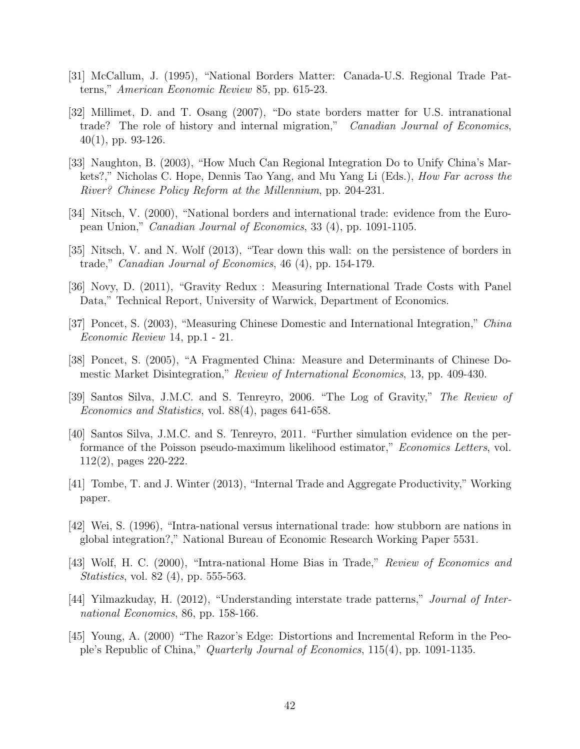- [31] McCallum, J. (1995), "National Borders Matter: Canada-U.S. Regional Trade Patterns," American Economic Review 85, pp. 615-23.
- [32] Millimet, D. and T. Osang (2007), "Do state borders matter for U.S. intranational trade? The role of history and internal migration," *Canadian Journal of Economics*. 40(1), pp. 93-126.
- [33] Naughton, B. (2003), "How Much Can Regional Integration Do to Unify China's Markets?," Nicholas C. Hope, Dennis Tao Yang, and Mu Yang Li (Eds.), How Far across the River? Chinese Policy Reform at the Millennium, pp. 204-231.
- [34] Nitsch, V. (2000), "National borders and international trade: evidence from the European Union," Canadian Journal of Economics, 33 (4), pp. 1091-1105.
- [35] Nitsch, V. and N. Wolf (2013), "Tear down this wall: on the persistence of borders in trade," Canadian Journal of Economics, 46 (4), pp. 154-179.
- [36] Novy, D. (2011), "Gravity Redux : Measuring International Trade Costs with Panel Data," Technical Report, University of Warwick, Department of Economics.
- [37] Poncet, S. (2003), "Measuring Chinese Domestic and International Integration," China Economic Review 14, pp.1 - 21.
- [38] Poncet, S. (2005), "A Fragmented China: Measure and Determinants of Chinese Domestic Market Disintegration," Review of International Economics, 13, pp. 409-430.
- [39] Santos Silva, J.M.C. and S. Tenreyro, 2006. "The Log of Gravity," The Review of Economics and Statistics, vol. 88(4), pages 641-658.
- [40] Santos Silva, J.M.C. and S. Tenreyro, 2011. "Further simulation evidence on the performance of the Poisson pseudo-maximum likelihood estimator," Economics Letters, vol. 112(2), pages 220-222.
- [41] Tombe, T. and J. Winter (2013), "Internal Trade and Aggregate Productivity," Working paper.
- [42] Wei, S. (1996), "Intra-national versus international trade: how stubborn are nations in global integration?," National Bureau of Economic Research Working Paper 5531.
- [43] Wolf, H. C. (2000), "Intra-national Home Bias in Trade," Review of Economics and *Statistics*, vol. 82 (4), pp. 555-563.
- [44] Yilmazkuday, H. (2012), "Understanding interstate trade patterns," Journal of International Economics, 86, pp. 158-166.
- [45] Young, A. (2000) "The Razor's Edge: Distortions and Incremental Reform in the People's Republic of China," Quarterly Journal of Economics, 115(4), pp. 1091-1135.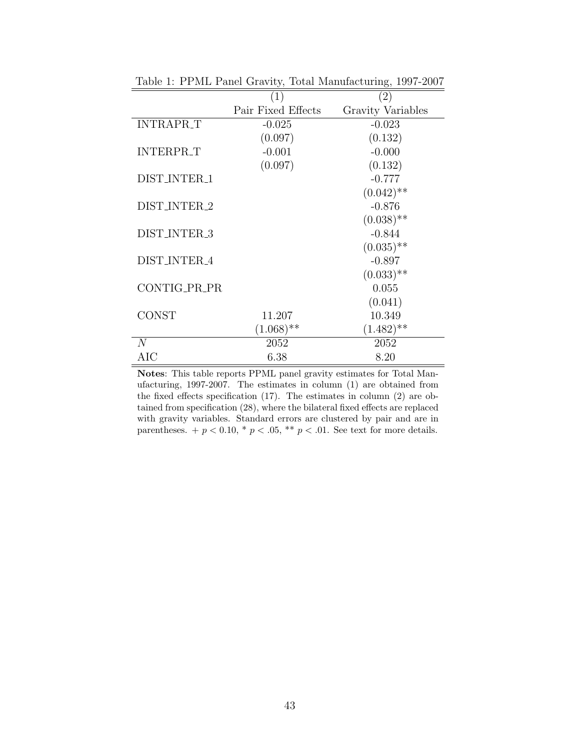|                  | (1)                | $\left( 2\right)$ |
|------------------|--------------------|-------------------|
|                  | Pair Fixed Effects | Gravity Variables |
| <b>INTRAPR_T</b> | $-0.025$           | $-0.023$          |
|                  | (0.097)            | (0.132)           |
| <b>INTERPR_T</b> | $-0.001$           | $-0.000$          |
|                  | (0.097)            | (0.132)           |
| DIST_INTER_1     |                    | $-0.777$          |
|                  |                    | $(0.042)$ **      |
| DIST_INTER_2     |                    | $-0.876$          |
|                  |                    | $(0.038)$ **      |
| DIST_INTER_3     |                    | $-0.844$          |
|                  |                    | $(0.035)$ **      |
| DIST_INTER_4     |                    | $-0.897$          |
|                  |                    | $(0.033)$ **      |
| CONTIG_PR_PR     |                    | 0.055             |
|                  |                    | (0.041)           |
| <b>CONST</b>     | 11.207             | 10.349            |
|                  | $(1.068)$ **       | $(1.482)$ **      |
| N                | 2052               | 2052              |
| AIC              | 6.38               | 8.20              |

Table 1: PPML Panel Gravity, Total Manufacturing, 1997-2007

Notes: This table reports PPML panel gravity estimates for Total Manufacturing, 1997-2007. The estimates in column (1) are obtained from the fixed effects specification (17). The estimates in column (2) are obtained from specification (28), where the bilateral fixed effects are replaced with gravity variables. Standard errors are clustered by pair and are in parentheses.  $+p < 0.10$ ,  $\ast p < .05$ ,  $\ast \ast p < .01$ . See text for more details.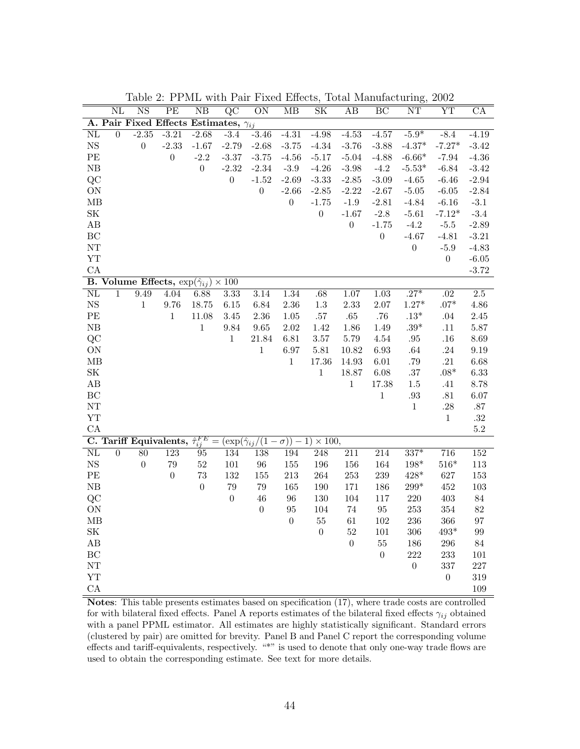|                                   | $\rm NL$       | NS               | PЕ               | NB                                                             | QC               | <b>ON</b>        | МB               | SΚ                                                                                                           | AВ               | BC                | NT               | YΤ               | CA               |
|-----------------------------------|----------------|------------------|------------------|----------------------------------------------------------------|------------------|------------------|------------------|--------------------------------------------------------------------------------------------------------------|------------------|-------------------|------------------|------------------|------------------|
|                                   |                |                  |                  | A. Pair Fixed Effects Estimates, $\gamma_{ij}$                 |                  |                  |                  |                                                                                                              |                  |                   |                  |                  |                  |
| $\overline{\text{NL}}$            | $\overline{0}$ | $-2.35$          | $-3.21$          | $-2.68$                                                        | $-3.4$           | $-3.46$          | $-4.31$          | $-4.98$                                                                                                      | $-4.53$          | $-4.57$           | $-5.9*$          | $-8.4$           | $-4.19$          |
| $_{\rm NS}$                       |                | $\boldsymbol{0}$ | $-2.33$          | $-1.67$                                                        | $-2.79$          | $-2.68$          | $-3.75$          | $-4.34$                                                                                                      | $-3.76$          | $-3.88$           | $-4.37*$         | $-7.27*$         | $-3.42$          |
| PE                                |                |                  | $\boldsymbol{0}$ | $-2.2$                                                         | $-3.37$          | $-3.75$          | $-4.56$          | $-5.17$                                                                                                      | $-5.04$          | $-4.88$           | $-6.66*$         | $-7.94$          | $-4.36$          |
| ${\rm NB}$                        |                |                  |                  | $\boldsymbol{0}$                                               | $-2.32$          | $-2.34$          | $-3.9$           | $-4.26$                                                                                                      | $-3.98$          | $-4.2$            | $-5.53*$         | $-6.84$          | $-3.42$          |
| QC                                |                |                  |                  |                                                                | $\boldsymbol{0}$ | $-1.52$          | $-2.69$          | $-3.33$                                                                                                      | $-2.85$          | $-3.09$           | $-4.65$          | $-6.46$          | $-2.94$          |
| ON                                |                |                  |                  |                                                                |                  | $\boldsymbol{0}$ | $-2.66$          | $-2.85$                                                                                                      | $-2.22$          | $-2.67$           | $-5.05$          | $-6.05$          | $-2.84$          |
| MB                                |                |                  |                  |                                                                |                  |                  | $\boldsymbol{0}$ | $-1.75$                                                                                                      | $-1.9$           | $-2.81$           | $-4.84$          | $-6.16$          | $-3.1$           |
| $\ensuremath{\mathbf{SK}}\xspace$ |                |                  |                  |                                                                |                  |                  |                  | $\boldsymbol{0}$                                                                                             | $-1.67$          | $-2.8$            | $-5.61$          | $-7.12*$         | $-3.4$           |
| AB                                |                |                  |                  |                                                                |                  |                  |                  |                                                                                                              | $\boldsymbol{0}$ | $-1.75$           | $-4.2$           | $-5.5$           | $-2.89$          |
| $\operatorname{BC}$               |                |                  |                  |                                                                |                  |                  |                  |                                                                                                              |                  | $\boldsymbol{0}$  | $-4.67$          | $-4.81$          | $-3.21$          |
| ${\rm NT}$                        |                |                  |                  |                                                                |                  |                  |                  |                                                                                                              |                  |                   | $\boldsymbol{0}$ | $-5.9$           | $-4.83$          |
| ${\rm YT}$                        |                |                  |                  |                                                                |                  |                  |                  |                                                                                                              |                  |                   |                  | $\boldsymbol{0}$ | $-6.05$          |
| CA                                |                |                  |                  |                                                                |                  |                  |                  |                                                                                                              |                  |                   |                  |                  | $-3.72$          |
|                                   |                |                  |                  | <b>B.</b> Volume Effects, $\exp(\hat{\gamma}_{ij}) \times 100$ |                  |                  |                  |                                                                                                              |                  |                   |                  |                  |                  |
| $\overline{\text{NL}}$            | $\mathbf{1}$   | 9.49             | 4.04             | 6.88                                                           | 3.33             | 3.14             | 1.34             | .68                                                                                                          | 1.07             | $\overline{1.03}$ | $.27*$           | .02              | $\overline{2.5}$ |
| $_{\rm NS}$                       |                | $\mathbf{1}$     | $9.76\,$         | 18.75                                                          | $6.15\,$         | 6.84             | 2.36             | $1.3\,$                                                                                                      | 2.33             | 2.07              | $1.27*$          | $.07*$           | 4.86             |
| PE                                |                |                  | $\mathbf{1}$     | 11.08                                                          | $3.45\,$         | $2.36\,$         | 1.05             | $.57\,$                                                                                                      | $.65\,$          | $.76\,$           | $.13^{\ast}$     | $.04\,$          | $2.45\,$         |
| $\rm NB$                          |                |                  |                  | $\,1\,$                                                        | $9.84\,$         | $\,9.65\,$       | 2.02             | 1.42                                                                                                         | $1.86\,$         | 1.49              | $.39^{\ast}$     | .11              | 5.87             |
| QC                                |                |                  |                  |                                                                | $\mathbf{1}$     | 21.84            | $6.81\,$         | $3.57\,$                                                                                                     | $5.79\,$         | 4.54              | $.95\,$          | .16              | 8.69             |
| ON                                |                |                  |                  |                                                                |                  | $\,1$            | 6.97             | $5.81\,$                                                                                                     | 10.82            | 6.93              | $.64\,$          | $.24\,$          | 9.19             |
| $\rm MB$                          |                |                  |                  |                                                                |                  |                  | $\,1\,$          | 17.36                                                                                                        | 14.93            | 6.01              | $.79\,$          | $.21\,$          | 6.68             |
| $\ensuremath{\mathbf{SK}}\xspace$ |                |                  |                  |                                                                |                  |                  |                  | $\,1\,$                                                                                                      | 18.87            | 6.08              | $.37\,$          | $.08^{\ast}$     | 6.33             |
| $\rm AB$                          |                |                  |                  |                                                                |                  |                  |                  |                                                                                                              | $\mathbf{1}$     | $17.38\,$         | 1.5              | .41              | 8.78             |
| BC                                |                |                  |                  |                                                                |                  |                  |                  |                                                                                                              |                  | $\,1$             | $.93\,$          | .81              | $6.07\,$         |
| ${\rm NT}$                        |                |                  |                  |                                                                |                  |                  |                  |                                                                                                              |                  |                   | $\,1$            | .28              | $.87\,$          |
| <b>YT</b>                         |                |                  |                  |                                                                |                  |                  |                  |                                                                                                              |                  |                   |                  | $\,1$            | $.32\,$          |
| CA                                |                |                  |                  |                                                                |                  |                  |                  |                                                                                                              |                  |                   |                  |                  | $5.2\,$          |
|                                   |                |                  |                  |                                                                |                  |                  |                  | <b>C.</b> Tariff Equivalents, $\hat{\tau}_{ij}^{FE} = (\exp(\hat{\gamma}_{ij}/(1-\sigma)) - 1) \times 100$ , |                  |                   |                  |                  |                  |
| $\overline{\text{NL}}$            | $\overline{0}$ | $\overline{80}$  | $\overline{123}$ | $\overline{95}$                                                | 134              | 138              | 194              | $\overline{248}$                                                                                             | $\overline{211}$ | 214               | $337*$           | 716              | $\overline{152}$ |
| $_{\rm NS}$                       |                | $\boldsymbol{0}$ | 79               | $52\,$                                                         | $101\,$          | 96               | $155\,$          | 196                                                                                                          | 156              | 164               | $198^{\ast}$     | $516^{\ast}$     | 113              |
| $\ensuremath{\mathsf{PE}}$        |                |                  | $\theta$         | 73                                                             | 132              | 155              | $213\,$          | 264                                                                                                          | $253\,$          | 239               | $428*$           | 627              | 153              |
| ${\rm NB}$                        |                |                  |                  | $\boldsymbol{0}$                                               | $79\,$           | 79               | 165              | 190                                                                                                          | 171              | 186               | $299^{\ast}$     | 452              | $103\,$          |
| QC                                |                |                  |                  |                                                                | $\boldsymbol{0}$ | 46               | $96\,$           | 130                                                                                                          | 104              | 117               | 220              | $403\,$          | $84\,$           |
| ON                                |                |                  |                  |                                                                |                  | $\boldsymbol{0}$ | $\rm 95$         | 104                                                                                                          | $74\,$           | $\rm 95$          | $253\,$          | 354              | 82               |
| MB                                |                |                  |                  |                                                                |                  |                  | $\boldsymbol{0}$ | $55\,$                                                                                                       | 61               | 102               | 236              | 366              | 97               |
| $\ensuremath{\mathbf{SK}}\xspace$ |                |                  |                  |                                                                |                  |                  |                  | $\boldsymbol{0}$                                                                                             | 52               | 101               | 306              | $493^{\ast}$     | 99               |
| $\rm AB$                          |                |                  |                  |                                                                |                  |                  |                  |                                                                                                              | $\boldsymbol{0}$ | $55\,$            | 186              | 296              | $84\,$           |
| BC                                |                |                  |                  |                                                                |                  |                  |                  |                                                                                                              |                  | $\boldsymbol{0}$  | $222\,$          | 233              | 101              |
| ${\rm NT}$                        |                |                  |                  |                                                                |                  |                  |                  |                                                                                                              |                  |                   | $\boldsymbol{0}$ | 337              | $227\,$          |
| YT                                |                |                  |                  |                                                                |                  |                  |                  |                                                                                                              |                  |                   |                  | $\boldsymbol{0}$ | $319\,$          |
| CA                                |                |                  |                  |                                                                |                  |                  |                  |                                                                                                              |                  |                   |                  |                  | 109              |

Table 2: PPML with Pair Fixed Effects, Total Manufacturing, 2002

Notes: This table presents estimates based on specification (17), where trade costs are controlled for with bilateral fixed effects. Panel A reports estimates of the bilateral fixed effects  $\gamma_{ij}$  obtained with a panel PPML estimator. All estimates are highly statistically significant. Standard errors (clustered by pair) are omitted for brevity. Panel B and Panel C report the corresponding volume effects and tariff-equivalents, respectively. "\*" is used to denote that only one-way trade flows are used to obtain the corresponding estimate. See text for more details.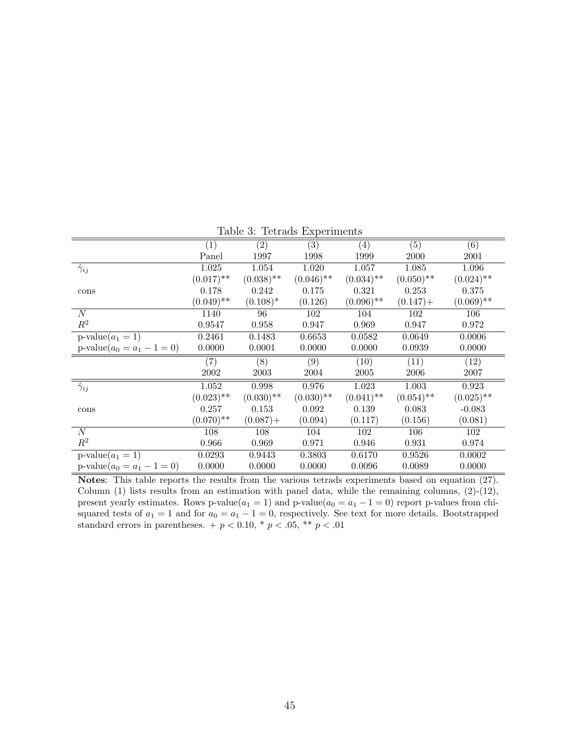|                                | $\left( 1\right)$ | (2)          | $\overline{(3)}$ | $\left( 4\right)$ | (5)          | (6)          |
|--------------------------------|-------------------|--------------|------------------|-------------------|--------------|--------------|
|                                | Panel             | 1997         | 1998             | 1999              | 2000         | 2001         |
| $\hat{\gamma}_{ij}$            | 1.025             | 1.054        | 1.020            | 1.057             | 1.085        | 1.096        |
|                                | $(0.017)$ **      | $(0.038)$ ** | $(0.046)$ **     | $(0.034)$ **      | $(0.050)$ ** | $(0.024)$ ** |
| cons                           | 0.178             | 0.242        | 0.175            | 0.321             | 0.253        | 0.375        |
|                                | $(0.049)$ **      | $(0.108)^*$  | (0.126)          | $(0.096)$ **      | $(0.147) +$  | $(0.069)$ ** |
| $\overline{N}$                 | 1140              | 96           | 102              | 104               | 102          | 106          |
| $\mathbb{R}^2$                 | 0.9547            | 0.958        | 0.947            | 0.969             | 0.947        | 0.972        |
| $p-value(a_1 = 1)$             | 0.2461            | 0.1483       | 0.6653           | 0.0582            | 0.0649       | 0.0006       |
| $p-value(a_0 = a_1 - 1 = 0)$   | 0.0000            | 0.0001       | 0.0000           | 0.0000            | 0.0939       | 0.0000       |
|                                | (7)               | (8)          | (9)              | (10)              | (11)         | (12)         |
|                                | 2002              | 2003         | 2004             | 2005              | 2006         | 2007         |
| $\overline{\hat{\gamma}_{ij}}$ | 1.052             | 0.998        | 0.976            | 1.023             | 1.003        | 0.923        |
|                                | $(0.023)$ **      | $(0.030)$ ** | $(0.030)$ **     | $(0.041)$ **      | $(0.054)$ ** | $(0.025)$ ** |
| cons                           | 0.257             | 0.153        | 0.092            | 0.139             | 0.083        | $-0.083$     |
|                                | $(0.070)$ **      | $(0.087) +$  | (0.094)          | (0.117)           | (0.156)      | (0.081)      |
| $\cal N$                       | 108               | 108          | 104              | 102               | 106          | 102          |
| $\mathbb{R}^2$                 | 0.966             | 0.969        | 0.971            | 0.946             | 0.931        | 0.974        |
| $p$ -value $(a_1 = 1)$         | 0.0293            | 0.9443       | 0.3803           | 0.6170            | 0.9526       | 0.0002       |
| $p-value(a_0 = a_1 - 1 = 0)$   | 0.0000            | 0.0000       | 0.0000           | 0.0096            | 0.0089       | 0.0000       |

Table 3: Tetrads Experiments

Notes: This table reports the results from the various tetrads experiments based on equation (27). Column  $(1)$  lists results from an estimation with panel data, while the remaining columns,  $(2)-(12)$ , present yearly estimates. Rows p-value( $a_1 = 1$ ) and p-value( $a_0 = a_1 - 1 = 0$ ) report p-values from chisquared tests of  $a_1 = 1$  and for  $a_0 = a_1 - 1 = 0$ , respectively. See text for more details. Bootstrapped standard errors in parentheses.  $+p < 0.10, * p < .05, ** p < .01$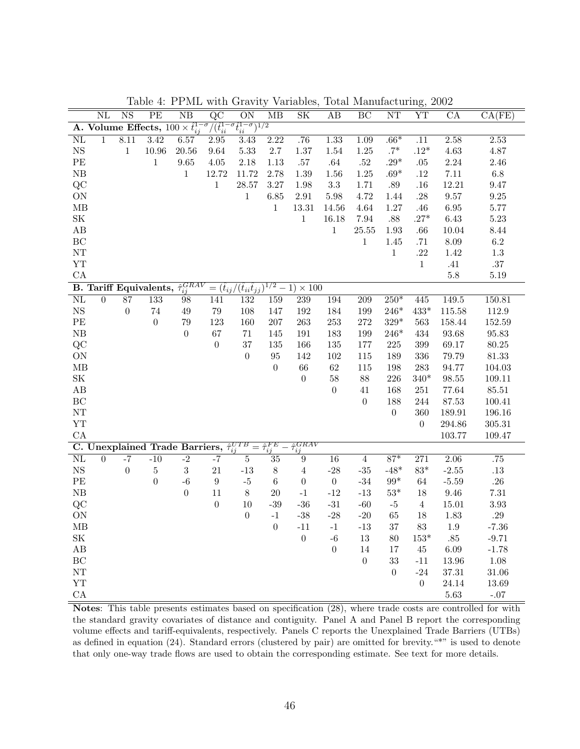|                                   | $\overline{\text{NL}}$                                                                                                     | $\overline{\text{NS}}$ | PE               | $\overline{\text{NB}}$                                 | $\overline{QC}$  | $\overline{ON}$   | $\overline{MB}$         | $\overline{\text{SK}}$                                                                | $\overline{AB}$  | $\overline{BC}$  | NT               | $\overline{\text{YT}}$ | $\overline{\text{CA}}$ | CA(FE)      |
|-----------------------------------|----------------------------------------------------------------------------------------------------------------------------|------------------------|------------------|--------------------------------------------------------|------------------|-------------------|-------------------------|---------------------------------------------------------------------------------------|------------------|------------------|------------------|------------------------|------------------------|-------------|
|                                   | $\sqrt{(\hat{t}_{ii}^{1-\sigma}\hat{t}_{ii}^{1-\sigma})^{1/2}}$<br>A. Volume Effects, $100 \times \hat{t}_{ij}^{1-\sigma}$ |                        |                  |                                                        |                  |                   |                         |                                                                                       |                  |                  |                  |                        |                        |             |
| $\overline{\text{NL}}$            | $\mathbf{1}$                                                                                                               | 8.11                   | 3.42             | 6.57                                                   | 2.95             | 3.43              | 2.22                    | .76                                                                                   | 1.33             | 1.09             | $.66*$           | $\overline{.11}$       | 2.58                   | 2.53        |
| $_{\rm NS}$                       |                                                                                                                            | $\,1$                  | $10.96\,$        | $20.56\,$                                              | $9.64\,$         | 5.33              | $2.7\,$                 | $1.37\,$                                                                              | $1.54\,$         | $1.25\,$         | $.7*$            | $.12^{\ast}$           | $4.63\,$               | $4.87\,$    |
| PE                                |                                                                                                                            |                        | $\mathbf{1}$     | $9.65\,$                                               | $4.05\,$         | 2.18              | 1.13                    | $.57\,$                                                                               | $.64\,$          | $.52\,$          | .29 $*$          | .05                    | $2.24\,$               | $2.46\,$    |
| $\rm NB$                          |                                                                                                                            |                        |                  | $\,1$                                                  | $12.72\,$        | 11.72             | 2.78                    | 1.39                                                                                  | 1.56             | 1.25             | $.69*$           | $.12\,$                | $7.11\,$               | $6.8\,$     |
| QC                                |                                                                                                                            |                        |                  |                                                        | $\mathbf 1$      | $28.57\,$         | $3.27\,$                | 1.98                                                                                  | $3.3\,$          | 1.71             | $.89\,$          | .16                    | 12.21                  | 9.47        |
| ON                                |                                                                                                                            |                        |                  |                                                        |                  | $\,1$             | 6.85                    | $2.91\,$                                                                              | $5.98\,$         | 4.72             | 1.44             | $.28\,$                | $\,9.57$               | $\ \, 9.25$ |
| $\rm MB$                          |                                                                                                                            |                        |                  |                                                        |                  |                   | $\mathbf{1}$            | 13.31                                                                                 | 14.56            | 4.64             | $1.27\,$         | .46                    | $6.95\,$               | $5.77\,$    |
| $\ensuremath{\mathbf{SK}}\xspace$ |                                                                                                                            |                        |                  |                                                        |                  |                   |                         | $\mathbf{1}$                                                                          | 16.18            | 7.94             | $.88\,$          | $.27*$                 | 6.43                   | $5.23\,$    |
| AB                                |                                                                                                                            |                        |                  |                                                        |                  |                   |                         |                                                                                       | $\,1$            | 25.55            | $1.93\,$         | $.66\,$                | 10.04                  | $8.44\,$    |
| BC                                |                                                                                                                            |                        |                  |                                                        |                  |                   |                         |                                                                                       |                  | $\mathbf{1}$     | 1.45             | .71                    | $8.09\,$               | $6.2\,$     |
| NT                                |                                                                                                                            |                        |                  |                                                        |                  |                   |                         |                                                                                       |                  |                  | $\,1\,$          | $.22\,$                | 1.42                   | $1.3\,$     |
| YT                                |                                                                                                                            |                        |                  |                                                        |                  |                   |                         |                                                                                       |                  |                  |                  | $\,1\,$                | $.41\,$                | $.37\,$     |
| CA                                |                                                                                                                            |                        |                  |                                                        |                  |                   |                         |                                                                                       |                  |                  |                  |                        | $5.8\,$                | $5.19\,$    |
|                                   |                                                                                                                            |                        |                  | B. Tariff Equivalents, $\hat{\tau}_{ij}^{GRAV}$        |                  |                   |                         | $=\overline{(\widehat{t}_{ij}/(\widehat{t}_{ii}\widehat{t}_{jj})^{1/2}-1)\times 100}$ |                  |                  |                  |                        |                        |             |
| $\overline{\text{NL}}$            | $\overline{0}$                                                                                                             | $\overline{87}$        | $\overline{133}$ | 98                                                     | 141              | 132               | 159                     | 239                                                                                   | 194              | $\overline{209}$ | $250*$           | 445                    | 149.5                  | 150.81      |
| $_{\rm NS}$                       |                                                                                                                            | $\boldsymbol{0}$       | $74\,$           | $49\,$                                                 | $79\,$           | 108               | 147                     | 192                                                                                   | 184              | 199              | $246^{\ast}$     | $433^{\ast}$           | 115.58                 | $112.9\,$   |
| PE                                |                                                                                                                            |                        | $\boldsymbol{0}$ | 79                                                     | 123              | 160               | 207                     | 263                                                                                   | 253              | 272              | $329*$           | 563                    | 158.44                 | 152.59      |
| ${\rm NB}$                        |                                                                                                                            |                        |                  | $\boldsymbol{0}$                                       | 67               | $71\,$            | 145                     | 191                                                                                   | 183              | 199              | $246*$           | 434                    | 93.68                  | 95.83       |
| QC                                |                                                                                                                            |                        |                  |                                                        | $\boldsymbol{0}$ | $37\,$            | 135                     | 166                                                                                   | 135              | 177              | $225\,$          | 399                    | 69.17                  | 80.25       |
| ON                                |                                                                                                                            |                        |                  |                                                        |                  | $\boldsymbol{0}$  | $\rm 95$                | 142                                                                                   | 102              | 115              | 189              | 336                    | 79.79                  | $81.33\,$   |
| MB                                |                                                                                                                            |                        |                  |                                                        |                  |                   | $\boldsymbol{0}$        | 66                                                                                    | $62\,$           | 115              | 198              | $\,283$                | 94.77                  | 104.03      |
| $\ensuremath{\mathbf{SK}}\xspace$ |                                                                                                                            |                        |                  |                                                        |                  |                   |                         | $\boldsymbol{0}$                                                                      | $58\,$           | $88\,$           | $226\,$          | $340*$                 | $\boldsymbol{98.55}$   | 109.11      |
| $\rm AB$                          |                                                                                                                            |                        |                  |                                                        |                  |                   |                         |                                                                                       | $\boldsymbol{0}$ | 41               | 168              | 251                    | 77.64                  | $85.51\,$   |
| BC                                |                                                                                                                            |                        |                  |                                                        |                  |                   |                         |                                                                                       |                  | $\boldsymbol{0}$ | 188              | $\,244$                | $87.53\,$              | 100.41      |
| ${\rm NT}$                        |                                                                                                                            |                        |                  |                                                        |                  |                   |                         |                                                                                       |                  |                  | $\boldsymbol{0}$ | 360                    | 189.91                 | 196.16      |
| ${\rm YT}$                        |                                                                                                                            |                        |                  |                                                        |                  |                   |                         |                                                                                       |                  |                  |                  | $\overline{0}$         | 294.86                 | $305.31\,$  |
| CA                                |                                                                                                                            |                        |                  |                                                        |                  |                   |                         |                                                                                       |                  |                  |                  |                        | 103.77                 | 109.47      |
|                                   |                                                                                                                            |                        |                  | C. Unexplained Trade Barriers, $\hat{\tau}_{ij}^{UTB}$ |                  |                   | $=\hat{\tau}_{ij}^{FE}$ | $\hat{\tau}^{GRAV}_{ij}$                                                              |                  |                  |                  |                        |                        |             |
| $\overline{\text{NL}}$            | $\overline{0}$                                                                                                             | $-7$                   | $-10$            | $-2$                                                   | $-7$             | $\overline{5}$    | $\overline{35}$         | $\overline{9}$                                                                        | $\overline{16}$  | $\overline{4}$   | $87*$            | $\overline{271}$       | $\overline{2.06}$      | .75         |
| $_{\rm NS}$                       |                                                                                                                            | $\boldsymbol{0}$       | $\bf 5$          | $\boldsymbol{3}$                                       | $21\,$           | $-13$             | $8\,$                   | $\sqrt{4}$                                                                            | $-28$            | $\textbf{-35}$   | $-48*$           | $83*$                  | $\textbf{-2.55}$       | $.13\,$     |
| PE                                |                                                                                                                            |                        | $\boldsymbol{0}$ | $-6$                                                   | $\boldsymbol{9}$ | $\textnormal{-}5$ | $\,6\,$                 | $\boldsymbol{0}$                                                                      | $\boldsymbol{0}$ | $\textbf{-34}$   | $99^{\ast}$      | $64\,$                 | $-5.59$                | $.26\,$     |
| ${\rm NB}$                        |                                                                                                                            |                        |                  | $\boldsymbol{0}$                                       | 11               | $8\,$             | 20                      | $^{\rm -1}$                                                                           | $\mbox{-}12$     | $-13$            | $53^{\ast}$      | 18                     | $9.46\,$               | $7.31\,$    |
| QC                                |                                                                                                                            |                        |                  |                                                        | $\boldsymbol{0}$ | $10\,$            | $-39$                   | $-36$                                                                                 | $\textbf{-31}$   | $-60$            | $-5$             | $\sqrt{4}$             | 15.01                  | $3.93\,$    |
| ON                                |                                                                                                                            |                        |                  |                                                        |                  | $\boldsymbol{0}$  | $^{\rm -1}$             | $\textbf{-38}$                                                                        | $-28$            | $-20$            | 65               | 18                     | 1.83                   | $.29\,$     |
| MB                                |                                                                                                                            |                        |                  |                                                        |                  |                   | $\boldsymbol{0}$        | $-11$                                                                                 | $^{\rm -1}$      | $-13$            | $37\,$           | $83\,$                 | $1.9\,$                | $-7.36$     |
| $\ensuremath{\mathbf{SK}}\xspace$ |                                                                                                                            |                        |                  |                                                        |                  |                   |                         | $\boldsymbol{0}$                                                                      | $-6\,$           | 13               | $80\,$           | $153^{\ast}$           | $.85\,$                | $-9.71$     |
| $\rm AB$                          |                                                                                                                            |                        |                  |                                                        |                  |                   |                         |                                                                                       | $\boldsymbol{0}$ | $14\,$           | $17\,$           | $45\,$                 | 6.09                   | $-1.78$     |
| BC                                |                                                                                                                            |                        |                  |                                                        |                  |                   |                         |                                                                                       |                  | $\boldsymbol{0}$ | 33               | $-11$                  | 13.96                  | $1.08\,$    |
| ${\rm NT}$                        |                                                                                                                            |                        |                  |                                                        |                  |                   |                         |                                                                                       |                  |                  | $\theta$         | $-24$                  | $37.31\,$              | 31.06       |
| YT                                |                                                                                                                            |                        |                  |                                                        |                  |                   |                         |                                                                                       |                  |                  |                  | $\boldsymbol{0}$       | 24.14                  | 13.69       |
| ${\rm CA}$                        |                                                                                                                            |                        |                  |                                                        |                  |                   |                         |                                                                                       |                  |                  |                  |                        | 5.63                   | $-.07$      |

Table 4: PPML with Gravity Variables, Total Manufacturing, 2002

Notes: This table presents estimates based on specification (28), where trade costs are controlled for with the standard gravity covariates of distance and contiguity. Panel A and Panel B report the corresponding volume effects and tariff-equivalents, respectively. Panels C reports the Unexplained Trade Barriers (UTBs) as defined in equation (24). Standard errors (clustered by pair) are omitted for brevity."\*" is used to denote that only one-way trade flows are used to obtain the corresponding estimate. See text for more details.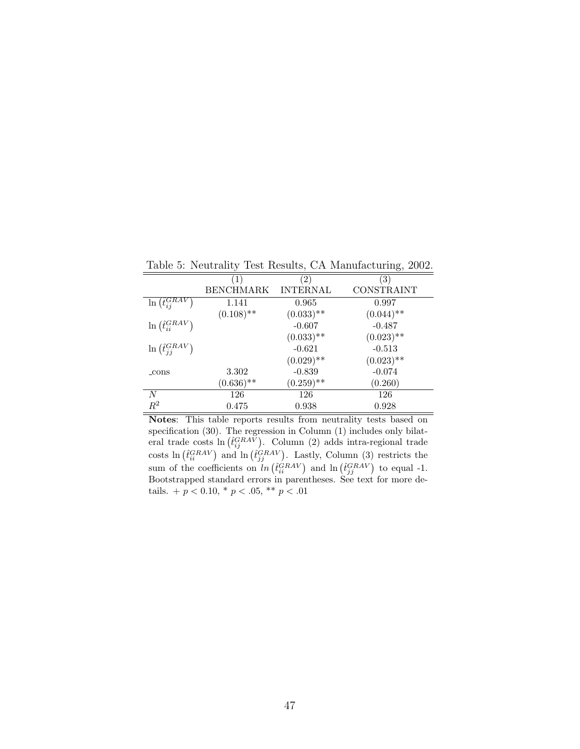Table 5: Neutrality Test Results, CA Manufacturing, 2002.

|                                          | $\ket{1}$        | $\left( 2\right)$ | ΄3΄          |
|------------------------------------------|------------------|-------------------|--------------|
|                                          | <b>BENCHMARK</b> | <b>INTERNAL</b>   | CONSTRAINT   |
| $\ell_{i j}^{GRAV}$<br>$\ln$             | 1.141            | 0.965             | 0.997        |
|                                          | $(0.108)$ **     | $(0.033)$ **      | $(0.044)$ ** |
| $\ln \left( \hat{t}_{ii}^{GRAV} \right)$ |                  | $-0.607$          | $-0.487$     |
|                                          |                  | $(0.033)$ **      | $(0.023)$ ** |
| $\ln\left(\hat{t}_{ij}^{GRAV}\right)$    |                  | $-0.621$          | $-0.513$     |
|                                          |                  | $(0.029)$ **      | $(0.023)$ ** |
| _cons                                    | 3.302            | $-0.839$          | $-0.074$     |
|                                          | $(0.636)$ **     | $(0.259)$ **      | (0.260)      |
| N                                        | 126              | 126               | 126          |
| $R^2$                                    | 0.475            | 0.938             | 0.928        |

Notes: This table reports results from neutrality tests based on specification (30). The regression in Column (1) includes only bilateral trade costs  $\ln \left( \hat{t}_{ij}^{GRAV} \right)$ . Column (2) adds intra-regional trade costs  $\ln \left( \hat{t}_{ii}^{GRAV} \right)$  and  $\ln \left( \hat{t}_{jj}^{GRAV} \right)$ . Lastly, Column (3) restricts the sum of the coefficients on  $\ln \left( \hat{t}_{ii}^{GRAV} \right)$  and  $\ln \left( \hat{t}_{jj}^{GRAV} \right)$  to equal -1. Bootstrapped standard errors in parentheses. See text for more details. +  $p < 0.10$ , \*  $p < .05$ , \*\*  $p < .01$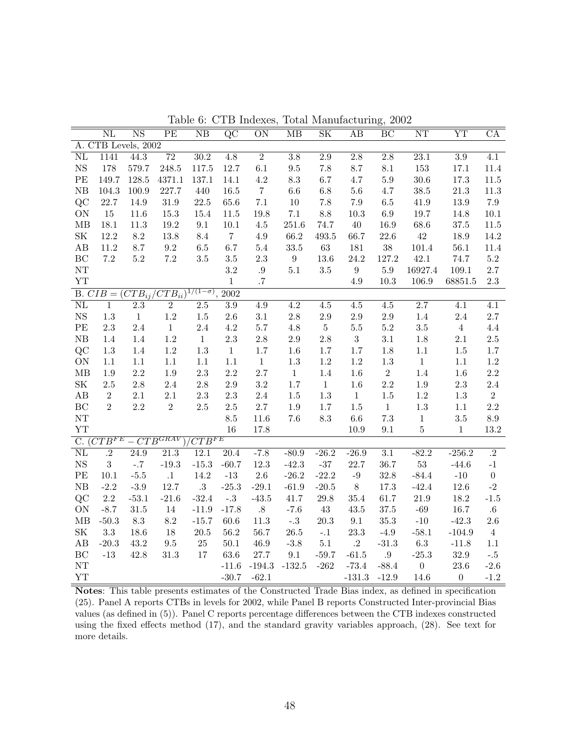|                                                                 | $\overline{\text{NL}}$ | $\overline{\text{NS}}$       | $\overline{PE}$   | $\overline{\text{NB}}$ | $\overline{QC}$          | $\overline{ON}$  | $\overline{MB}$  | $\overline{\text{SK}}$ | AB               | $\overline{BC}$  | $\overline{\text{NT}}$ | $\overline{\text{YT}}$ | $\overline{\text{CA}}$ |
|-----------------------------------------------------------------|------------------------|------------------------------|-------------------|------------------------|--------------------------|------------------|------------------|------------------------|------------------|------------------|------------------------|------------------------|------------------------|
|                                                                 |                        | A. CTB Levels, 2002          |                   |                        |                          |                  |                  |                        |                  |                  |                        |                        |                        |
| $\overline{\text{NL}}$                                          | 1141                   | 44.3                         | $\overline{72}$   | $\overline{30.2}$      | $\overline{4.8}$         | $\overline{2}$   | $\overline{3.8}$ | $\overline{2.9}$       | $\overline{2.8}$ | $\overline{2.8}$ | 23.1                   | $\overline{3.9}$       | $\overline{4.1}$       |
| $_{\rm NS}$                                                     | 178                    | 579.7                        | 248.5             | 117.5                  | 12.7                     | $6.1\,$          | $\,9.5$          | 7.8                    | 8.7              | $8.1\,$          | 153                    | 17.1                   | 11.4                   |
| PE                                                              | 149.7                  | 128.5                        | 4371.1            | 137.1                  | 14.1                     | $4.2\,$          | 8.3              | $6.7\,$                | 4.7              | $5.9\,$          | $30.6\,$               | 17.3                   | $11.5\,$               |
| NB                                                              | 104.3                  | $100.9\,$                    | 227.7             | 440                    | 16.5                     | $\overline{7}$   | 6.6              | $6.8\,$                | $5.6\,$          | $4.7\,$          | $38.5\,$               | $21.3\,$               | $11.3\,$               |
| QC                                                              | 22.7                   | 14.9                         | $31.9\,$          | $22.5\,$               | 65.6                     | $7.1\,$          | $10\,$           | $7.8\,$                | $7.9\,$          | $6.5\,$          | 41.9                   | $13.9\,$               | $7.9\,$                |
| ON                                                              | 15                     | 11.6                         | $15.3\,$          | $15.4\,$               | 11.5                     | 19.8             | $7.1\,$          | $8.8\,$                | $10.3\,$         | $6.9\,$          | 19.7                   | 14.8                   | 10.1                   |
| $\rm MB$                                                        | $18.1\,$               | $11.3\,$                     | $19.2\,$          | 9.1                    | $10.1\,$                 | $4.5\,$          | $251.6\,$        | 74.7                   | 40               | 16.9             | $68.6\,$               | $37.5\,$               | $11.5\,$               |
| $\ensuremath{\mathbf{SK}}\xspace$                               | 12.2                   | $8.2\,$                      | 13.8              | 8.4                    | $\overline{7}$           | $4.9\,$          | 66.2             | $\rm 493.5$            | 66.7             | $22.6\,$         | $42\,$                 | 18.9                   | 14.2                   |
| $\rm AB$                                                        | $11.2\,$               | 8.7                          | $\ \, 9.2$        | $6.5\,$                | 6.7                      | $5.4\,$          | $33.5\,$         | $63\,$                 | 181              | $38\,$           | $101.4\,$              | $56.1\,$               | 11.4                   |
| BC                                                              | $7.2\,$                | $5.2\,$                      | $7.2\,$           | $3.5\,$                | $3.5\,$                  | $2.3\,$          | 9 <sup>°</sup>   | $13.6\,$               | $24.2\,$         | 127.2            | 42.1                   | 74.7                   | $5.2\,$                |
| $\rm{NT}$                                                       |                        |                              |                   |                        | $\!3.2\!$                | $.9\,$           | $5.1\,$          | $3.5\,$                | $\boldsymbol{9}$ | $5.9\,$          | 16927.4                | 109.1                  | $2.7\,$                |
| YT                                                              |                        |                              |                   |                        | $\mathbf{1}$             | .7               |                  |                        | 4.9              | $10.3\,$         | 106.9                  | 68851.5                | $2.3\,$                |
| B. $CIB = (CTB_{ij}/\overline{CTB_{ii}})^{1/(1-\sigma)}$ , 2002 |                        |                              |                   |                        |                          |                  |                  |                        |                  |                  |                        |                        |                        |
| $\overline{\text{NL}}$                                          | $\overline{1}$         | $\overline{2.3}$             | $\overline{2}$    | $\overline{2.5}$       | $\overline{3.9}$         | 4.9              | $\overline{4.2}$ | $4.5\,$                | $\overline{4.5}$ | $4.5\,$          | $\overline{2.7}$       | $\overline{4.1}$       | $\overline{4.1}$       |
| $_{\rm NS}$                                                     | $1.3\,$                | $\,1\,$                      | $1.2\,$           | $1.5\,$                | $2.6\,$                  | $3.1\,$          | $2.8\,$          | $2.9\,$                | $2.9\,$          | $2.9\,$          | $1.4\,$                | $2.4\,$                | $2.7\,$                |
| $\rm PE$                                                        | $2.3\,$                | $2.4\,$                      | $\,1\,$           | $2.4\,$                | $4.2\,$                  | $5.7\,$          | $4.8\,$          | $\bf 5$                | $5.5\,$          | $5.2\,$          | $3.5\,$                | $\,4$                  | $4.4\,$                |
| ${\rm NB}$                                                      | $1.4\,$                | $1.4\,$                      | $1.2\,$           | $\mathbf{1}$           | $2.3\,$                  | $2.8\,$          | $2.9\,$          | $2.8\,$                | $\sqrt{3}$       | 3.1              | $1.8\,$                | $2.1\,$                | $2.5\,$                |
| QC                                                              | $1.3\,$                | 1.4                          | $1.2\,$           | $1.3\,$                | $\mathbf{1}$             | $1.7\,$          | 1.6              | $1.7\,$                | $1.7\,$          | 1.8              | $1.1\,$                | $1.5\,$                | $1.7\,$                |
| ON                                                              | 1.1                    | $1.1\,$                      | $1.1\,$           | $1.1\,$                | $1.1\,$                  | $\mathbf{1}$     | $1.3\,$          | $1.2\,$                | $1.2\,$          | $1.3\,$          | $\,1$                  | $1.1\,$                | $1.2\,$                |
| $\rm MB$                                                        | $1.9\,$                | $2.2\,$                      | $1.9\,$           | $2.3\,$                | $2.2\,$                  | $2.7\,$          | $\mathbf{1}$     | $1.4\,$                | $1.6\,$          | $\overline{2}$   | $1.4\,$                | $1.6\,$                | $2.2\,$                |
| $\ensuremath{\mathbf{SK}}\xspace$                               | $2.5\,$                | $2.8\,$                      | $2.4\,$           | $2.8\,$                | $2.9\,$                  | $3.2\,$          | 1.7              | $\,1\,$                | $1.6\,$          | $2.2\,$          | $1.9\,$                | $2.3\,$                | $2.4\,$                |
| $\rm AB$                                                        | $\sqrt{2}$             | $2.1\,$                      | $2.1\,$           | $2.3\,$                | $2.3\,$                  | $2.4\,$          | $1.5\,$          | $1.3\,$                | $\,1\,$          | $1.5\,$          | $1.2\,$                | $1.3\,$                | $\,2$                  |
| BC                                                              | $\overline{2}$         | $2.2\,$                      | $\overline{2}$    | $2.5\,$                | $2.5\,$                  | $2.7\,$          | $1.9\,$          | $1.7\,$                | $1.5\,$          | $\mathbf{1}$     | $1.3\,$                | $1.1\,$                | $2.2\,$                |
| NT                                                              |                        |                              |                   |                        | $\!\!\!\!\!8.5$          | 11.6             | 7.6              | $\!\!\!\!\!8.3$        | $6.6\,$          | $7.3\,$          | $\mathbf{1}$           | $3.5\,$                | $\!\!\!\!\!8.9$        |
| YT                                                              |                        |                              |                   |                        | 16                       | 17.8             |                  |                        | $10.9\,$         | $\,9.1$          | $5\,$                  | $\mathbf{1}$           | 13.2                   |
|                                                                 |                        | C. $(CTB^{FE} - CTB^{GRAV})$ |                   | $CTB^{FE}$             |                          |                  |                  |                        |                  |                  |                        |                        |                        |
| $\overline{\text{NL}}$                                          | $\overline{.2}$        | 24.9                         | $\overline{21.3}$ | 12.1                   | 20.4                     | $-7.8$           | $-80.9$          | $-26.2$                | $-26.9$          | $\overline{3.1}$ | $-82.2$                | $-256.2$               | $\cdot$ <sup>2</sup>   |
| $_{\rm NS}$                                                     | $\overline{3}$         | $-.7$                        | $-19.3$           | $-15.3$                | $-60.7$                  | $12.3\,$         | $-42.3$          | $\textbf{-37}$         | $22.7\,$         | 36.7             | $53\,$                 | $-44.6$                | $-1$                   |
| $\rm PE$                                                        | 10.1                   | $-5.5$                       | $\cdot 1$         | $14.2\,$               | $\mbox{-}13$             | $2.6\,$          | $-26.2$          | $-22.2$                | $-9$             | 32.8             | $-84.4$                | $\mbox{-}10$           | $\boldsymbol{0}$       |
| ${\rm NB}$                                                      | $-2.2$                 | $-3.9$                       | 12.7              | $.3\,$                 | $-25.3$                  | $-29.1$          | $-61.9$          | $-20.5$                | 8                | $17.3\,$         | $-42.4$                | $12.6\,$               | $\textbf{-}2$          |
| QC                                                              | $2.2\,$                | $-53.1$                      | $-21.6$           | $-32.4$                | $^{\text{{\small -}}.3}$ | $-43.5$          | 41.7             | $29.8\,$               | $35.4\,$         | $61.7\,$         | $21.9\,$               | $18.2\,$               | $-1.5$                 |
| ON                                                              | $-8.7$                 | $31.5\,$                     | $14\,$            | $-11.9$                | $-17.8$                  | $.8\,$           | $-7.6$           | 43                     | $43.5\,$         | $37.5\,$         | $-69\,$                | $16.7\,$               | $.6\,$                 |
| MB                                                              | $-50.3$                | $\!\!\!\!\!8.3$              | 8.2               | $-15.7$                | $60.6\,$                 | 11.3             | $-.3$            | $20.3\,$               | 9.1              | $35.3\,$         | $-10$                  | $-42.3$                | $2.6\,$                |
| $\ensuremath{\mathbf{SK}}\xspace$                               | $3.3\,$                | 18.6                         | $18\,$            | $20.5\,$               | $56.2\,$                 | $56.7\,$         | $26.5\,$         | $-.1$                  | $23.3\,$         | $-4.9$           | $-58.1$                | $-104.9$               | $\overline{4}$         |
| $\rm AB$                                                        | $-20.3$                | 43.2                         | $\,9.5$           | $25\,$                 | $50.1\,$                 | $46.9\,$         | $\textbf{-3.8}$  | $5.1\,$                | $.2\,$           | $-31.3$          | $6.3\,$                | $-11.8$                | $1.1\,$                |
| $\operatorname{BC}$                                             | $-13$                  | $42.8\,$                     | $31.3\,$          | $17\,$                 | 63.6                     | $27.7\,$         | 9.1              | $-59.7$                | $-61.5$          | .9               | $-25.3$                | $32.9\,$               | $^{\circ}.5$           |
| NT                                                              |                        |                              |                   |                        |                          | $-11.6$ $-194.3$ | $-132.5$         | $-262$                 | $-73.4$          | $-88.4$          | $\boldsymbol{0}$       | $23.6\,$               | $-2.6$                 |
| ${\it YT}$                                                      |                        |                              |                   |                        | $-30.7$                  | $-62.1$          |                  |                        | $-131.3$         | $-12.9$          | 14.6                   | $\overline{0}$         | $-1.2$                 |

Table 6: CTB Indexes, Total Manufacturing, 2002

Notes: This table presents estimates of the Constructed Trade Bias index, as defined in specification (25). Panel A reports CTBs in levels for 2002, while Panel B reports Constructed Inter-provincial Bias values (as defined in (5)). Panel C reports percentage differences between the CTB indexes constructed using the fixed effects method (17), and the standard gravity variables approach, (28). See text for more details.